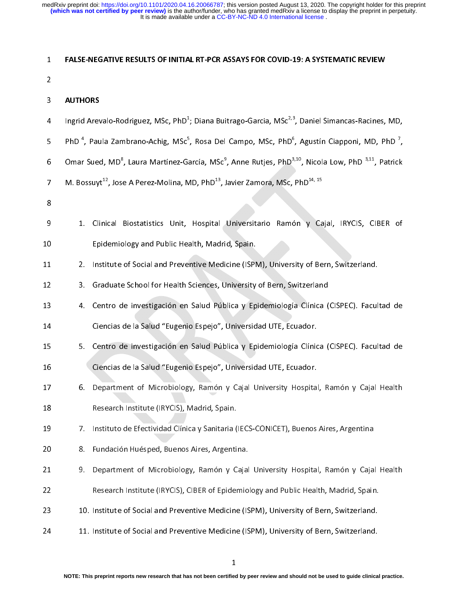1 FALSE-NEGATIVE RESULTS OF INFINE RT-PCR ASSATS FOR COVID-15: A STISTEMATIC REVIEW<br>
1<br>
1<br>
1<br>
1<br>
1<br>
1 FIND<sup>4</sup>, Paula Zambrano-Achig, MSc<sup>5</sup>, Rosa Del Campo, MSc, PhD<sup>5</sup>, Agustín Ciapponi, MD, PI<br>
1<br>
1<br>
1. Clinical Biostati 3 4 5 6 7 8 9 0 1 4 Ingrid Arev<br>5 PhD <sup>4</sup>, Pau<br>6 Omar Suec<br>7 M. Bossuyi<br>8<br>9 1. Cli<br>1 2. Ins Ingrid Arevalo-Rodriguez, MSc, PhD<sup>+</sup><br>PhD<sup>+</sup>, Paula Zambrano-Achig, MSc<sup>5</sup><br>Omar Sued, MD<sup>8</sup>, Laura Martínez-Ga<br>M. Bossuyt<sup>12</sup>, Jose A Perez-Molina, M<br>1. Clinical Biostatistics Unit,<br>Epidemiology and Public Hea<br>2. Institute Ingrid Arevalo-Rodriguez, MSc, PhD'; Diana Buitrago-Garcia, MSc<sup>o.</sup>", Daniel Simancas-Racines, MD,<br>
PhD<sup>-4</sup>, Paula Zambrano-Achig, MSc<sup>5</sup>, Rosa Del Campo, MSc, PhD<sup>6</sup>, Agustín Ciapponi, MD, PhD<sup>-7</sup>,<br>
Omar Sued, MD<sup>8</sup>, Laur PhD<sup>-+</sup>, Paula Zambrano-Achig, MSc<sup>2</sup><br>Omar Sued, MD<sup>8</sup>, Laura Martínez-Ga<br>M. Bossuyt<sup>12</sup>, Jose A Perez-Molina, M<br>1. Clinical Biostatistics Unit,<br>Epidemiology and Public Hea<br>2. Institute of Social and Prevel<br>3. Graduate Sch , Rosa Del Campo, MSc, PhD°<br>Parcía, MSc<sup>9</sup>, Anne Rutjes, PhD<sup>3</sup><br>1D, PhD<sup>13</sup>, Javier Zamora, MSc,<br>Hospital Universitario Ramó<br>alth, Madrid, Spain.<br>ntive Medicine (ISPM), Univers<br>Sciences, University of Bern, Sv<br>Salud Públic PhD", Paula Zambrano-Achig, MSc", Rosa Del Campo, MSc, PhD", Agustín Ciapponi, MD, PhD",<br>
0 Omar Sued, MD<sup>8</sup>, Laura Martínez-García, MSc<sup>9</sup>, Anne Rutjes, PhD<sup>3,10</sup>, Nicola Low, PhD <sup>3,11</sup>, Patrick<br>
7 M. Bossuyt<sup>12</sup>, Jose A Omar Sued, MD°<br>M. Bossuyt<sup>12</sup>, Jose<br>1. Clinical<br>1. Clinical<br>5. Graduate<br>4. Centro d<br>1. Centro d , Laura Martínez-García, MSc<sup>,</sup><br>e A Perez-Molina, MD, PhD<sup>13</sup>, J<br>Biostatistics Unit, Hospital<br>Ilogy and Public Health, Madri<br>of Social and Preventive Medi<br>P. School for Health Sciences, U<br>e investigación en Salud Púb<br>de la Omar Sued, MD", Laura Martinez-Garcia, MSc", Anne Rutjes, PhD<sup>3,2</sup>, Nicola Low, PhD<sup>31</sup>", Patrick<br>
7 M. Bossuyt<sup>12</sup>, Jose A Perez-Molina, MD, PhD<sup>13</sup>, Javier Zamora, MSc, PhD<sup>14, 15</sup><br>
8<br>
9 1. Clinical Biostatistics Unit, H M. Bossuyt<sup>12</sup>, Jose A Perez-Molina, MD, PhD<sup>13</sup>, Javier Zamora, MSc, PhD<sup>14, 15</sup><br>
8<br>
9<br>
1. Clinical Biostatistics Unit, Hospital Universitario Ramón y Ca<br>
Epidemiology and Public Health, Madrid, Spain.<br>
2. Institute of So 9 0 1 2 3 4 5 6 7 9 1. Clinical Biostatistics University Material Biostatistics University of Bern, Switzerland.<br>
9. Clinical Biostatistics University of Bern, Switzerland.<br>
9. Graduate School for Health Sciences, University of Bern, Switze 2. Institute of Social and Preventive Medicine (ISPN<br>
12 3. Graduate School for Health Sciences, University<br>
13 4. Centro de investigación en Salud Pública y Ep<br>
15 5. Centro de investigación en Salud Pública y Ep<br>
16 Cien 12 3. Graduate School for Health Sciences, University of Bern, Switzerland<br>
13 4. Centro de investigación en Salud Pública y Epidemiología Clínica (CISPEC). Facul<br>
14 Ciencias de la Salud "Eugenio Espejo", Universidad UTE, 13 4. Centro de investigación en Salud Pública y Epidemiología Clínica (<br>14 Ciencias de la Salud "Eugenio Espejo", Universidad UTE, Ecuador.<br>15 S. Centro de investigación en Salud Pública y Epidemiología Clínica (<br>16 Cienc Cencias de la Salud "Eugenio Espejo", Universidad UTE, Ecuador.<br>
13 5. Centro de investigación en Salud Pública y Epidemiología Clínica (CISPEC). Facultad de<br>
16 Ciencias de la Salud "Eugenio Espejo", Universidad UTE, Ecua 15 S. Centro de investigación en Salud Pública y Epidemiología Clínic<br>16 Ciencias de la Salud "Eugenio Espejo", Universidad UTE, Ecuador.<br>17 6. Department of Microbiology, Ramón y Cajal University Hospita<br>18 Research Insti 16 Ciencias de la Salud "Eugenio Espejo", Universidad UTE, Ecuador.<br>
17 6. Department of Microbiology, Ramón y Cajal University Hospital, Ramón y Cajal Health<br>
18 Research Institute (IRYCIS), Madrid, Spain.<br>
19 7. Institut 17 6. Department of Microbiology, Ramón y Cajal University Hospita<br>
18 Research Institute (IRYCIS), Madrid, Spain.<br>
19 7. Instituto de Efectividad Clínica y Sanitaria (IECS-CONICET), Buenos<br>
19 8. Fundación Huésped, Buenos 18 Research Institute (IRYCIS), Madrid, Spain.<br>
17 Institute de Efectividad Clínica y Sanitaria (IECS-CONICET), Buenos Aires, Argentina<br>
19 I. Penartment of Microbiology, Ramón y Cajal University Hospital, Ramón y Cajal He 19 7. Instituto de Efectividad Clínica y Sanitaria (<br>
18 8. Fundación Huésped, Buenos Aires, Argenti<br>
19 9. Department of Microbiology, Ramón y C<br>
19 Research Institute (IRYCIS), CIBER of Epider<br>
10. Institute of Social an 19 8. Fundación Huésped, Buenos Aires, Argentina.<br>
21 9. Department of Microbiology, Ramón y Cajal University Hospital, Ramón y Cajal<br>
22 Research Institute (IRYCIS), CIBER of Epidemiology and Public Health, Madrid, Spain<br> 9. Department of Microbiology, Ramón y Cajal<br>
Research Institute (IRYCIS), CIBER of Epidemio<br>
23 10. Institute of Social and Preventive Medicine (IS<br>
24 11. Institute of Social and Preventive Medicine (IS<br>
1<br>
NOTE: This pr 22 Research Institute (IRYCIS), CIBER of Epidemiology and Public Health, Madrid, Spain.<br>23 10. Institute of Social and Preventive Medicine (ISPM), University of Bern, Switzerland.<br>24 11. Institute of Social and Preventive 22 Research Institute of Social and Preventive Medicine (ISPM), University of Bern, Switzerland.<br>24 I. Institute of Social and Preventive Medicine (ISPM), University of Bern, Switzerland.<br>24 I. Institute of Social and Prev 24 11. Institute of Social and Preventive Medicine (ISPM), University of Bern, Switzerland.<br>1<br>NOTE: This preprint reports new research that has not been certified by peer review and should not be used to guide clinical<br>ini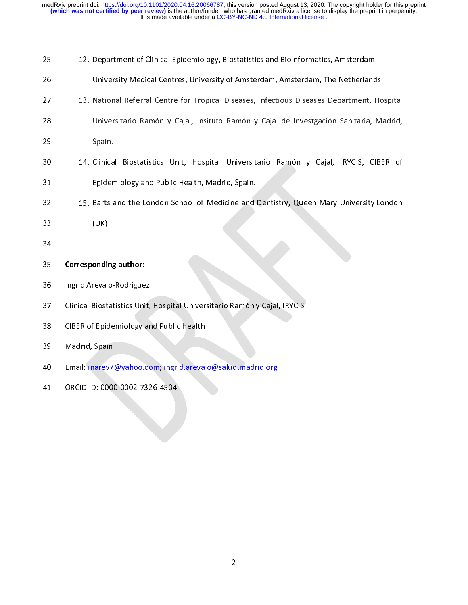| 25 | 12. Department of Clinical Epidemiology, Biostatistics and Bioinformatics, Amsterdam         |
|----|----------------------------------------------------------------------------------------------|
| 26 | University Medical Centres, University of Amsterdam, Amsterdam, The Netherlands.             |
| 27 | 13. National Referral Centre for Tropical Diseases, Infectious Diseases Department, Hospital |
| 28 | Universitario Ramón y Cajal, Insituto Ramón y Cajal de Investgación Sanitaria, Madrid,       |
| 29 | Spain.                                                                                       |
| 30 | 14. Clinical Biostatistics Unit, Hospital Universitario Ramón y Cajal, IRYCIS, CIBER of      |
| 31 | Epidemiology and Public Health, Madrid, Spain.                                               |
| 32 | 15. Barts and the London School of Medicine and Dentistry, Queen Mary University London      |
| 33 | (UK)                                                                                         |
| 34 |                                                                                              |
| 35 | <b>Corresponding author:</b>                                                                 |
| 36 | Ingrid Arevalo-Rodriguez                                                                     |
| 37 | Clinical Biostatistics Unit, Hospital Universitario Ramón y Cajal, IRYCIS                    |
| 38 | <b>CIBER of Epidemiology and Public Health</b>                                               |
| 39 | Madrid, Spain                                                                                |
| 40 | Email: inarev7@yahoo.com; ingrid.arevalo@salud.madrid.org                                    |
| 41 | ORCID ID: 0000-0002-7326-4504                                                                |
|    |                                                                                              |
|    |                                                                                              |
|    |                                                                                              |
|    |                                                                                              |
|    |                                                                                              |
|    |                                                                                              |
|    |                                                                                              |
|    |                                                                                              |
|    | $\overline{2}$                                                                               |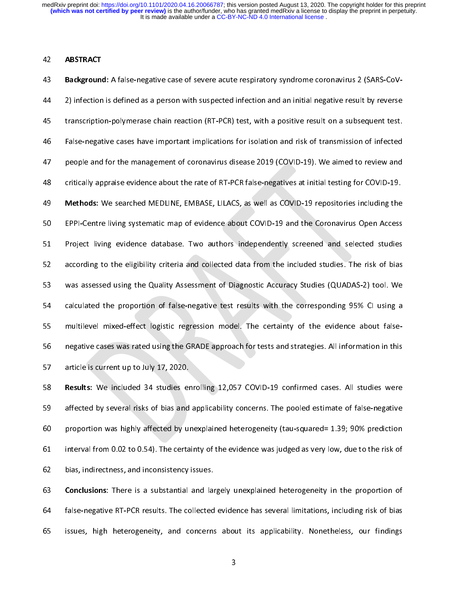Examples and the Mackground<br>44 2) infection<br>45 transcriptic<br>46 False-negat<br>47 people and<br>48 critically ap<br>49 Methods: \<br>50 EPPI-Centre Background: A false-inegative case of severe acade respiratory syntheme ediometrics 2 (SARS-Cov-<br>
2) infection is defined as a person with suspected infection and an initial negative result by reverse<br>
44 False-negative ca transcription-polymerase chain reaction (RT-PCR) test, with a positive result on a subsequent test.<br>
44 False-negative cases have important implications for isolation and risk of transmission of infected<br>
44 people and for False-negative cases have important implications for isolation and risk of transmission of infected<br>people and for the management of coronavirus disease 2019 (COVID-19). We aimed to review and<br>critically appraise evidence 947 people and for the management of coronavirus disease 2019 (COVID-19). We aimed to review and<br>148 critically appraise evidence about the rate of RT-PCR false-negatives at initial testing for COVID-19.<br>149 Methods: We se eritically appraise evidence about the rate of RT-PCR false-negatives at initial testing for COVID-19.<br>
49 **Methods:** We searched MEDLINE, EMBASE, LILACS, as well as COVID-19 repositories including the<br>
57 **Project** living EPPI-Centre living systematic map of evidence about COVID-19 repositories including the<br>EPPI-Centre living systematic map of evidence about COVID-19 and the Coronavirus Open Access<br>Project living evidence database. Two aut EPPI-Centre living systematic map of evidence about COVID-19 and the Coronavirus Open Access<br>
Project living evidence database. Two authors independently screened and selected studies<br>
according to the eligibility criteria Project living evidence database. Two authors independently screened and selected studies<br>according to the eligibility criteria and collected data from the included studies. The risk of bias<br>was assessed using the Quality Examples according to the eligibility criteria and collected data from the included studies. The risk of bias<br>
says assessed using the Quality Assessment of Diagnostic Accuracy Studies (QUADAS-2) tool. We<br>
calculated the p was assessed using the Quality Assessment of Diagnostic Accuracy Studies (QUADAS-2) tool. We<br>calculated the proportion of false-negative test results with the corresponding 95% CI using a<br>multilevel mixed-effect logistic r

Example 19 was assessed using the Californian Constrainer of Diagnostic Accuracy Constitution of the California<br>55 multilevel mixed-effect logistic regression model. The certainty of the evidence about false-<br>negative case multilevel mixed-effect logistic regression model. The certainty of the evidence about false-<br>negative cases was rated using the GRADE approach for tests and strategies. All information in this<br>article is current up to Jul Example is current up to July 17, 2020.<br>
56 Results: We included 34 studies enrolling 12,057 COVID-19 confirmed cases. All studies were<br>
56 affected by several risks of bias and applicability concerns. The pooled estimate Results: We included 34 studies er<br>affected by several risks of bias and<br>proportion was highly affected by un<br>interval from 0.02 to 0.54). The certa<br>bias, indirectness, and inconsistency<br>**Conclusions:** There is a substanti 158 Results: We included 34 studies enrolling 12,057 COVID-19 committed cases. All studies were<br>159 affected by several risks of bias and applicability concerns. The pooled estimate of false-negative<br>160 proportion was hig 59 proportion was highly affected by unexplained heterogeneity (tau-squared= 1.39; 90% prediction<br>51 interval from 0.02 to 0.54). The certainty of the evidence was judged as very low, due to the risk of<br>52 bias, indirectne

64 false-negative RT-PCR results. The collected evidence has several limitations, including risk of bias 61 proportion manner, the existency of the evidence was judged as very low, due to the risk of<br>bias, indirectness, and inconsistency issues.<br>**Conclusions:** There is a substantial and largely unexplained heterogeneity in th bias, indirectness, and inconsistency issues.<br> **Conclusions:** There is a substantial and largely unexplained heterogeneity in the proportion of<br>
false-negative RT-PCR results. The collected evidence has several limitations **Conclusions:** There is a substantial and laintial false-negative RT-PCR results. The collected issues, high heterogeneity, and concerns 64 false-negative RT-PCR results. The collected evidence has several limitations, including risk of bias<br>65 issues, high heterogeneity, and concerns about its applicability. Nonetheless, our findings<br>3 False-negative RT-PCR results. The concernegative RT-PCR results. The concerners about its applicability. Nonetheless, our findings of bias several risk of bias several results. The collections of bias several risk of bias  $\frac{1}{3}$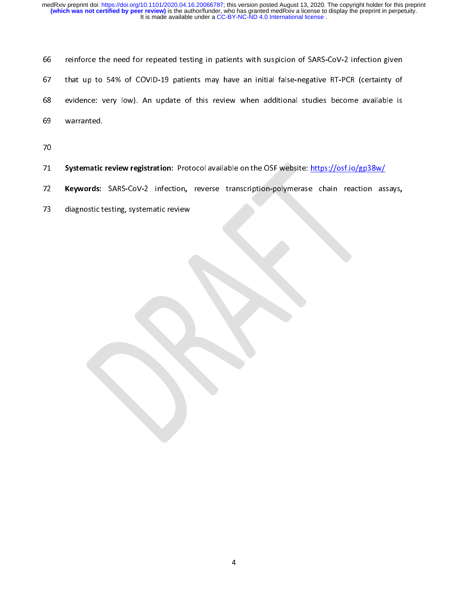| 66 | reinforce the need for repeated testing in patients with suspicion of SARS-CoV-2 infection given |
|----|--------------------------------------------------------------------------------------------------|
| 67 | that up to 54% of COVID-19 patients may have an initial false-negative RT-PCR (certainty of      |
| 68 | evidence: very low). An update of this review when additional studies become available is        |
| 69 | warranted.                                                                                       |
| 70 |                                                                                                  |
| 71 | Systematic review registration: Protocol available on the OSF website: https://osf.io/gp38w/     |
| 72 | Keywords: SARS-CoV-2 infection, reverse transcription-polymerase chain reaction assays,          |
| 73 | diagnostic testing, systematic review                                                            |
|    |                                                                                                  |
|    |                                                                                                  |
|    |                                                                                                  |
|    |                                                                                                  |
|    |                                                                                                  |

- 
- 71<br>72<br>73
- 72 Systematic review registration: Protocol available on the OSF website: <u>Intersection product</u><br>73 diagnostic testing, systematic review<br>73 diagnostic testing, systematic review The meywords: SARS-CoV-2 infection, reverse transcription-polymerase chain reaction assays,
- 73 diagnostic testing, systematic review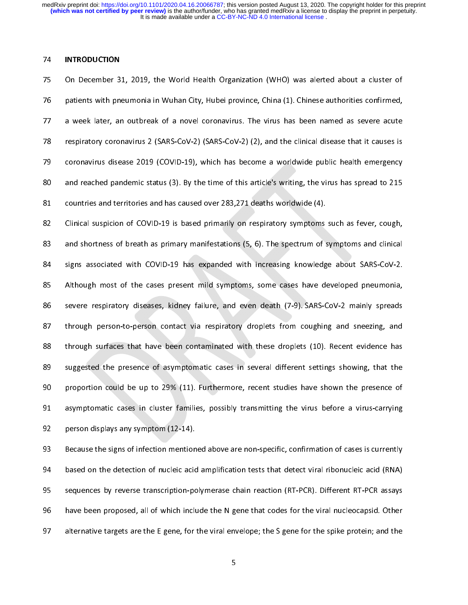| C F c c c c c 74 INTRODUCTION<br>75 On December 3:<br>76 patients with pne<br>77 a week later, ar<br>78 respiratory coron<br>79 coronavirus dise<br>80 and reached pan<br>81 countries and ter<br>82 Clinical suspicion patients with pneumonia in Wuhan City, Hubei province, China (1). Chinese authorities confirmed,<br>
27 a week later, an outbreak of a novel coronavirus. The virus has been named as severe acute<br>
27 respiratory coronavirus 2 a week later, an outbreak of a novel coronavirus. The virus has been named as severe acute<br>respiratory coronavirus 2 (SARS-CoV-2) (SARS-CoV-2) (2), and the clinical disease that it causes is<br>coronavirus disease 2019 (COVID

respiratory coronavirus 2 (SARS-CoV-2) (SARS-CoV-2) (2), and the clinical disease that it causes is<br>coronavirus disease 2019 (COVID-19), which has become a worldwide public health emergency<br>and reached pandemic status (3). coronavirus disease 2019 (COVID-19), which has become a worldwide public health emergency<br>and reached pandemic status (3). By the time of this article's writing, the virus has spread to 215<br>countries and territories and ha and reached pandemic status (3). By the time of this article's writing, the virus has spread to 215<br>
statutives and territories and has caused over 283,271 deaths worldwide (4).<br>
Clinical suspicion of COVID-19 is based pri and reached pandemic status (3). By the time of this article's writing, the virus has spread to 215<br>
scuntries and territories and has caused over 283,271 deaths worldwide (4).<br>
Clinical suspicion of COVID-19 is based prim Clinical suspicion of COVID-19 is based primarily on respiratory symptoms<br>and shortness of breath as primary manifestations (5, 6). The spectrum of s<br>signs associated with COVID-19 has expanded with increasing knowledg<br>Alt and shortness of breath as primary manifestations (5, 6). The spectrum of symptoms and clinical<br>signs associated with COVID-19 has expanded with increasing knowledge about SARS-CoV-2.<br>Although most of the cases present mil signs associated with COVID-19 has expanded with increasing knowledge about SARS-CoV-2.<br>
85 Although most of the cases present mild symptoms, some cases have developed pneumonia,<br>
86 severe respiratory diseases, kidney fai 85 Although most of the cases present mild symptoms, some cases have developed pneumonia,<br>86 severe respiratory diseases, kidney failure, and even death (7-9) SARS-CoV-2 mainly spreads<br>87 through person-to-person contact v severe respiratory diseases, kidney failure, and even death (7-9). SARS-CoV-2 mainly spreads<br>B7 through person-to-person contact via respiratory droplets from coughing and sneezing, and<br>through surfaces that have been cont 87 through person-to-person contact via respiratory droplets from coughing and sneezing, and<br>88 suggested the presence of asymptomatic cases in several different settings showing, that the<br>89 suggested the presence of asym BREAT THRAM SUNDA PERSON CONDED TO CONDED THE CONDED THRAM SURFACT CONDED THRAM SURFACT CONDED IN SURFACT CONTENTS SHOWING, that the proportion could be up to 29% (11). Furthermore, recent studies have shown the presence o

suggested the presence of asymptomatic cases in several different settings showing, that the<br>proportion could be up to 29% (11). Furthermore, recent studies have shown the presence of<br>asymptomatic cases in cluster families Brownton could be up to 29% (11). Furthermore, recent studies have shown the presence of asymptomatic cases in cluster families, possibly transmitting the virus before a virus-carrying person displays any symptom (12-14).<br> experience of the 29% (11). Furthermore, recent studies have shown that the presence of a structure of a structure of a structure presence of a structure presence of the up to 214).<br>Because the signs of infection mentioned 92 person displays any symptom (12-14).<br>
93 Because the signs of infection mentioned above are non-specific, confirmation of cases is currently<br>
94 based on the detection of nucleic acid amplification tests that detect vir Because the signs of infection mention<br>94 based on the detection of nucleic acid<br>95 sequences by reverse transcription-po<br>96 have been proposed, all of which inclu<br>97 alternative targets are the E gene, for based on the detection of nucleic acid amplification tests that detect viral ribonucleic acid (RNA)<br>95 sequences by reverse transcription-polymerase chain reaction (RT-PCR). Different RT-PCR assays<br>96 have been proposed, a 95 sequences by reverse transcription-polymerase chain reaction (RT-PCR). Different RT-PCR assays<br>96 have been proposed, all of which include the N gene that codes for the viral nucleocapsid. Other<br>97 alternative targets a 96 have been proposed, all of which include the N gene that codes for the viral nucleocapsid. Other<br>97 alternative targets are the E gene, for the viral envelope; the S gene for the spike protein; and the<br>97 5 97 alternative targets are the E gene, for the viral envelope; the S gene for the spike protein; and the<br>5 97 alternative targets are the E gene, for the viral envelope; the S gene for the spike protein; and the<br>5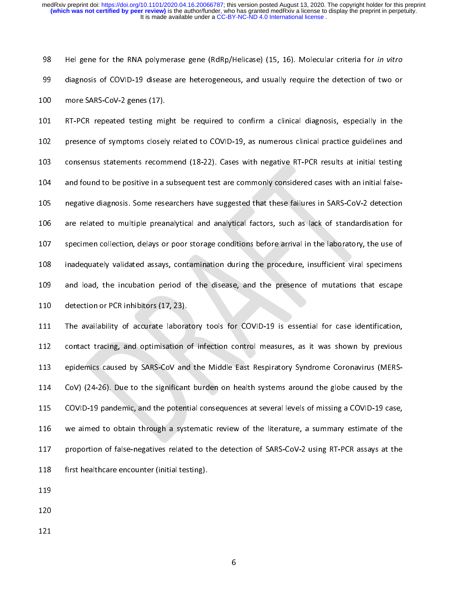The gene for the RNA polymerase gene (RdRp/Hendase) (15, 16). Molecular criteria for in vitro<br>diagnosis of COVID-19 disease are heterogeneous, and usually require the detection of two or<br>more SARS-CoV-2 genes (17).<br>RT-PCR 99 more SARS-CoV-2 genes (17).<br>
99 more SARS-CoV-2 genes (17).<br>
99 mesence of symptoms closely related to COVID-19, as numerous clinical practice guidelines and<br>
99 consensus statements recommend (18-22). Cases with negati 101 RT-PCR repeated testing might<br>102 presence of symptoms closel<br>103 consensus statements recom<br>104 and found to be positive in a :<br>105 negative diagnosis. Some rese<br>106 are related to multiple prear<br>107 specimen collecti The mision of properties the confirmed to COVID-19, as numerous clinical practice guidelines and<br>
103 consensus statements recommend (18-22). Cases with negative RT-PCR results at initial testing<br>
104 and found to be posit consensus statements recommend (18-22). Cases with negative RT-PCR results at initial testing<br>
and found to be positive in a subsequent test are commonly considered cases with an initial false-<br>
negative diagnosis. Some re and found to be positive in a subsequent test are commonly considered cases with an initial false-<br>
105 megative diagnosis. Some researchers have suggested that these failures in SARS-CoV-2 detection<br>
103 are related to mu 106 are related to multiple preanalytical and analytical factors, such as lack of standardisation for<br>107 specimen collection, delays or poor storage conditions before arrival in the laboratory, the use of<br>108 inadequately

113 epidemics caused by SARS-CoV and the Middle East Respiratory Syndrome Coronavirus (MERSspecimen collection, delays or poor storage conditions before arrival in the laboratory, the use of<br>inadequately validated assays, contamination during the procedure, insufficient viral specimens<br>and load, the incubation p inadequately validated assays, contamination during the procedure, insufficient viral specimens<br>
and load, the incubation period of the disease, and the presence of mutations that escape<br>
detection or PCR inhibitors (17, 2 and load, the incubation period of the disease, and the presence of mutations that escape<br>
110 detection or PCR inhibitors (17, 23).<br>
111 The availability of accurate laboratory tools for COVID-19 is essential for case ide 110<br>110 detection or PCR inhibitors (17, 23).<br>111 The availability of accurate laboratory tools for COVID-19 is essential for case identification,<br>112 contact tracing, and optimisation of infection control measures, as it The availability of accurate labora<br>
112 contact tracing, and optimisation of<br>
113 epidemics caused by SARS-CoV and<br>
114 CoV) (24-26). Due to the significant<br>
115 COVID-19 pandemic, and the potent<br>
116 we aimed to obtain t 112 contact tracing, and optimisation of infection control measures, as it was shown by previous<br>
113 epidemics caused by SARS-CoV and the Middle East Respiratory Syndrome Coronavirus (MERS-<br>
114 CoVID-19 pandemic, and the epidemics caused by SARS-CoV and the Middle East Respiratory Syndrome Coronavirus (MERS-CoV) (24-26). Due to the significant burden on health systems around the globe caused by the<br>COVID-19 pandemic, and the potential cons 115 COVID-19 pandemic, and the potential consequences at several levels of missing a COVID-19 case,<br>116 we aimed to obtain through a systematic review of the literature, a summary estimate of the<br>1147 proportion of false-n we aimed to obtain through a systematic review of the literature, a summary estimate of the<br>117 proportion of false-negatives related to the detection of SARS-CoV-2 using RT-PCR assays at the<br>118 first healthcare encounter 117 proportion of false-negatives related to the detection of SARS-CoV-2 using RT-PCR assays at the<br>118 first healthcare encounter (initial testing).<br>119<br>120 118 first healthcare encounter (initial testing).<br>119<br>120<br>6

119<br>120<br>121 ---<br>120<br>121 121<br>|<br>|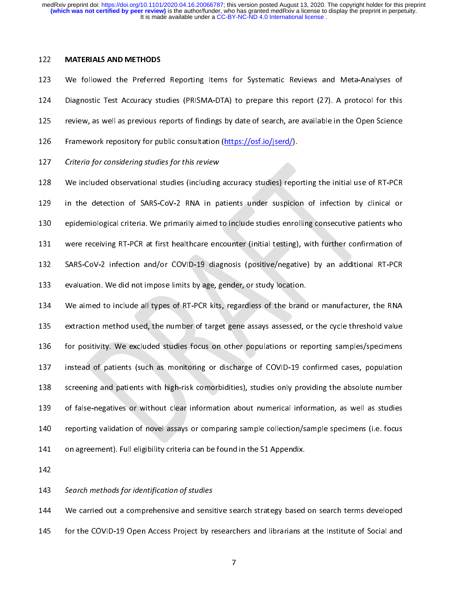| | |<br>| | |<br>| | | | | | We followed the Preferred<br>123 We followed the Preferred<br>124 Diagnostic Test Accuracy sti<br>125 review, as well as previous re<br>126 Framework repository for pu<br>127 *Criteria for considering studie*<br>128 We included observationa

Diagnostic Test Accuracy studies (PRISMA-DTA) to prepare this report (27). A protocol for this<br>125 review, as well as previous reports of findings by date of search, are available in the Open Science<br>126 Framework reposito review, as well as previous reports of findings by date of search, are available in the Open Science<br>
126 Framework repository for public consultation (https://osf.io/iserd/).<br>
127 Criteria for considering studies for this Framework repository for public consultation (https://osf.io/iserd/).<br>
127 Criteria for considering studies for this review<br>
128 We included observational studies (including accuracy studies) reporting the initial use of R Criteria for considering studies for this review<br>128 We included observational studies (including accuracy studies) repo<br>129 in the detection of SARS-CoV-2 RNA in patients under suspicio<br>130 epidemiological criteria. We pr EXTERT CHERT JOT CONSIDENTIFY STADES JOT THIS FEVIEW<br>129 in the detection of SARS-CoV-2 RNA in p:<br>130 epidemiological criteria. We primarily aimed 1<br>131 were receiving RT-PCR at first healthcare eno<br>132 SARS-CoV-2 infectio 129 In the detection of SARS-CoV-2 RNA in patients under suspicion of infection by clinical or<br>129 epidemiological criteria. We primarily aimed to include studies enrolling consecutive patients who<br>131 were receiving RT-PC

epidemiological criteria. We primarily aimed to include studies enrolling consecutive patients who<br>131 were receiving RT-PCR at first healthcare encounter (initial testing), with further confirmation of<br>132 SARS-CoV-2 infe 131 were receiving RT-PCR at first healthcare encounter (initial testing), with further confirmation of<br>132 SARS-CoV-2 infection and/or COVID-19 diagnosis (positive/negative) by an additional RT-PCR<br>133 evaluation. We did SARS-CoV-2 infection and/or COVID-19 diagnosis (positive/negative) by an additional RT-PCR<br>evaluation. We did not impose limits by age, gender, or study location.<br>134 We aimed to include all types of RT-PCR kits, regardles evaluation. We did not impose limits by age, gender, or study location.<br>
134 We aimed to include all types of RT-PCR kits, regardless of the brand or manufacturer, the RNA<br>
135 extraction method used, the number of target 134 We aimed to include all types of RT-PCR kits, regardless of the brand<br>135 extraction method used, the number of target gene assays assessed, compression.<br>136 for positivity. We excluded studies focus on other populatio extraction method used, the number of target gene assays assessed, or the cycle threshold value<br>for positivity. We excluded studies focus on other populations or reporting samples/specimens<br>instead of patients (such as mon 135 for positivity. We excluded studies focus on other populations or reporting samples/specimens<br>137 instead of patients (such as monitoring or discharge of COVID-19 confirmed cases, population<br>138 screening and patients instead of patients (such as monitoring or discharge of COVID-19 confirmed cases, population<br>
138 screening and patients with high-risk comorbidities), studies only providing the absolute number<br>
139 of false-negatives or screening and patients with high-risk comorbidities), studies only providing the absolute number<br>of false-negatives or without clear information about numerical information, as well as studies<br>reporting validation of novel 139 of false-negatives or without clear information about numerical information, as well as studies<br>139 of false-negatives or without clear information about numerical information, as well as studies<br>140 on agreement). Ful reporting validation of novel assays or comparing sample collection/sample specimens (i.e. focus<br>
141 on agreement). Full eligibility criteria can be found in the S1 Appendix.<br>
142 Search methods for identification of stud

141 on agreement). Full eligibility criteria can be found in the S1 Appendix.<br>
142<br>
143 Search methods for identification of studies<br>
144 We carried out a comprehensive and sensitive search strategy based on search terms d 142<br>143 Search methods for identification of studies<br>144 We carried out a comprehensive and sensitive search strategy based<br>145 for the COVID-19 Open Access Project by researchers and librarians a<br>145 143<br>144<br>145 143 Search methods for identification of stadies<br>144 We carried out a comprehensive and sensi<br>145 for the COVID-19 Open Access Project by r 145 for the COVID-19 Open Access Project by researchers and librarians at the Institute of Social and 7

 $\frac{1}{7}$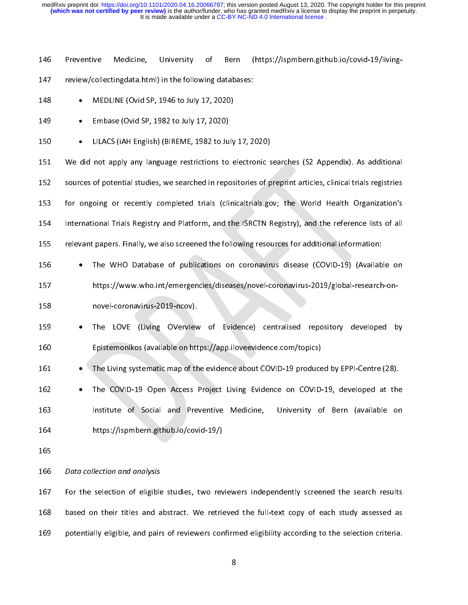146 Preventive (https://ispmbern.github.io/covid-19/living-Medicine, University of Bern

- 
- 
- 
- 

 155 Prelevant papers. Finally, we also screened the following resources for additional information: The WHO Database of publications on coronate the following the WHO Database of publications of the WHO Database of publications of the WHO Database of publications on coronate for the WHO Database of publications on corona • MEDLINE (Ovid SP, 1946 to July 17, 2020)<br>
• Embase (Ovid SP, 1982 to July 17, 2020)<br>
• LILACS (iAH English) (BIREME, 1982 to July<br>
151 We did not apply any language restrictions to e<br>
sources of potential studies, we sea • Embase (Ovid SP, 1982 to July 17, 2020)<br>150 • LILACS (iAH English) (BIREME, 1982 to July<br>151 We did not apply any language restrictions to<br>152 sources of potential studies, we searched in repo<br>153 for ongoing or recently 150 • LILACS (iAH English) (BIREME, 1982 to July 17, 2020)<br>151 We did not apply any language restrictions to electronic s<br>152 sources of potential studies, we searched in repositories of p<br>153 for ongoing or recently compl 152 sources of potential studies, we searched in repositories of preprint articles, clinical trials registries<br>
151 International Trials Registry and Platform, and the ISRCTN Registry), and the reference lists of all<br>
151 152 sources of publical studies, we search of the professor of the material studies.<br>
152 sources of all<br>
152 relevant papers. Finally, we also screened the following resources for additional information:<br>
152 The WHO Data 153 for ongoing or recently completed trials (clinicaltrials.gov; the World Health Organization's<br>
154 International Trials Registry and Platform, and the ISRCTN Registry), and the reference lists of all<br>
161 relevant pape

- 155 relevant papers. Finally, we also screened the following resources for additional information:<br>
154 The WHO Database of publications on coronavirus disease (COVID-19) (Available on<br>
154 Https://www.who.int/emergencies/ The WHO Database of publications on coronavirus disease (COVID-19) (Availab<br>
https://www.who.int/emergencies/diseases/novel-coronavirus-2019/global-research<br>
novel-coronavirus-2019-ncov).<br>
The LOVE (Living OVerview of Evid
- 

- The WHO Database of publications on coronavirus disease (COVID-19) (Available on<br>
https://www.who.int/emergencies/diseases/novel-coronavirus-2019/global-research-on-<br>
novel-coronavirus-2019-ncov).<br>
 The LOVE (Living OVe The LOVE (Living OVerview<br>
159 • The LOVE (Living OVerview<br>
160 Epistemonikos (available on htt<br>
161 • The Living systematic map of th<br>
162 • The COVID-19 Open Access<br>
163 Institute of Social and Pre<br>
164 https://ispmbern. • The LOVE (Living OVerview of Evidence) centralised repository developed by<br>
160 Epistemonikos (available on https://app.iloveevidence.com/topics)<br>
• The COVID-19 Open Access Project Living Evidence on COVID-19, developed The Living systematic map of the evidence about COVID-19 produce<br>
160 CDVID-19 Open Access Project Living Evidence on COVID-<br>
166 Institute of Social and Preventive Medicine, University of<br>
164 Inters://ispmbern.github.io/
- 

166 Data collection and analysis

The Living systematic map of the evidence about COVID-19 produced by EPPI-Centre (28).<br>
162 • The COVID-19 Open Access Project Living Evidence on COVID-19, developed at the<br>
163 Institute of Social and Preventive Medicine, • The COVID-19 Open Access Project Living Evidence on COVID-19, developed at the<br>
Institute of Social and Preventive Medicine, University of Bern (available on<br>
https://ispmbern.github.io/covid-19/)<br>
165<br> *Data collection* https://ispmbern.github.io/covid-19/)<br>165<br>166 *Data collection and analysis*<br>167 For the selection of eligible studies, two reviewers independently screened the search results<br>168 based on their titles and abstract. We ret 165<br>166 *Data collection and analysis*<br>167 For the selection of eligible studies, two rev<br>168 based on their titles and abstract. We retric<br>169 potentially eligible, and pairs of reviewers con ---<br>166<br>167<br>168<br>169 167 For the selection and analysis<br>168 based on their titles and a<br>169 potentially eligible, and pair 168 based on their titles and abstract. We retrieved the full-text copy of each study assessed as<br>169 potentially eligible, and pairs of reviewers confirmed eligibility according to the selection criteria.<br>169 169 based in the time absorber on the function the full-text copy of each study according<br>169 botentially eligible, and pairs of reviewers confirmed eligibility according to the selection criteria.<br>8  $\begin{array}{ccc} \texttt{16} & \texttt{16} & \texttt{16} & \texttt{16} & \texttt{16} \end{array}$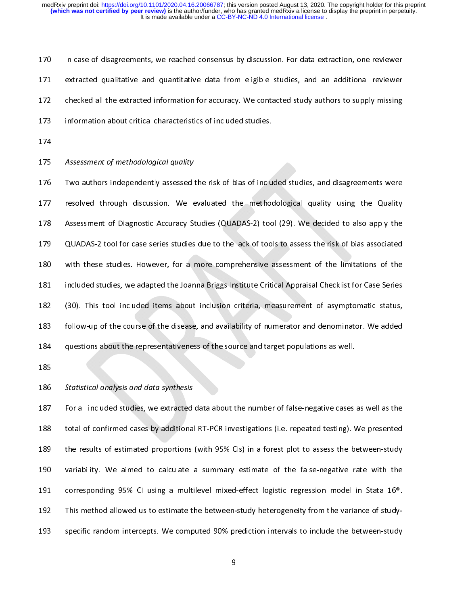| ∈ c i ∠ T r

171 extracted qualitative and quantitative data from eligible studies, and an additional reviewer<br>172 checked all the extracted information for accuracy. We contacted study authors to supply missing<br>173 information about c The checked all the extracted information for accuracy. We contacted study authors to supply missing<br>
173 information about critical characteristics of included studies,<br>
174 Assessment of methodological quality<br>
176 Two a 173 information about critical characteristics of included studies.<br>
174<br>
175 Assessment of methodological quality<br>
176 Two authors independently assessed the risk of bias of included studies, and disagreements were<br>
177 r 174<br>175 Assessment of methodological quality<br>176 Two authors independently assessed the risk of bias of inclu<br>177 resolved through discussion. We evaluated the method<br>178 Assessment of Diagnostic Accuracy Studies (QUADAS-2 175<br>176<br>177<br>178<br>179<br>180<br>181<br>181 175 Assessment of methodological quality<br>176 Two authors independently assessed 1<br>178 Assessment of Diagnostic Accuracy St<br>179 QUADAS-2 tool for case series studies<br>180 with these studies. However, for a<br>181 included studi 177 resolved through discussion. We evaluated the methodological quality using the Quality<br>178 Assessment of Diagnostic Accuracy Studies (QUADAS-2) tool (29). We decided to also apply the<br>179 QUADAS-2 tool for case series 178 Assessment of Diagnostic Accuracy Studies (QUADAS-2) tool (29). We decided to also apply the<br>179 QUADAS-2 tool for case series studies due to the lack of tools to assess the risk of bias associated<br>181 included studies 179 QUADAS-2 tool for case series studies due to the lack of tools to assess the risk of bias associated<br>180 with these studies. However, for a more comprehensive assessment of the limitations of the<br>181 included studies, with these studies. However, for a more comprehensive assessment of the limitations of the<br>
1791 included studies, we adapted the Joanna Briggs Institute Critical Appraisal Checklist for Case Series<br>
1792 (30). This tool i included studies, we adapted the Joanna Briggs Institute Critical Appraisal Checklist for Case Series<br>
182 (30). This tool included items about inclusion criteria, measurement of asymptomatic status,<br>
180 follow-up of the

182 (30). This tool included items about inclusion criteria, measurement of asymptomatic status,<br>183 follow-up of the course of the disease, and availability of numerator and denominator. We added<br>184 questions about the r 183 follow-up of the course of the disease, and availability of numerator and denominator. We added<br>
184 questions about the representativeness of the source and target populations as well.<br>
185 Statistical analysis and da 184<br>184 questions about the representativeness of the source and target populations as well.<br>185<br>185 *Statistical analysis and data synthesis*<br>187 For all included studies, we extracted data about the number of false-negat 185<br>186 Statistical analysis and data synthesis<br>187 For all included studies, we extracted data about the number of false-negative cases<br>188 total of confirmed cases by additional RT-PCR investigations (i.e. repeated testi 186<br>187<br>188<br>189<br>190<br>191<br>191<br>192 187 For all included studies, we extracted<br>188 total of confirmed cases by additional<br>189 the results of estimated proportions<br>190 variability. We aimed to calculate<br>191 corresponding 95% CI using a multi<br>192 This method a total of confirmed cases by additional RT-PCR investigations (i.e. repeated testing). We presented<br>the results of estimated proportions (with 95% Cls) in a forest plot to assess the between-study<br>variability. We aimed to c 189 the results of estimated proportions (with 95% Cls) in a forest plot to assess the between-study<br>189 variability. We aimed to calculate a summary estimate of the false-negative rate with the<br>191 corresponding 95% Cl us variability. We aimed to calculate a summary estimate of the false-negative rate with the<br>191 corresponding 95% CI using a multilevel mixed-effect logistic regression model in Stata 16<sup>®</sup>.<br>192 This method allowed us to est 191 corresponding 95% CI using a multilevel mixed-effect logistic regression model in Stata 16<sup>®</sup>.<br>
192 This method allowed us to estimate the between-study heterogeneity from the variance of study-<br>
193 specific random i 1912 This method allowed us to estimate the between-study heterogeneity from the variance of study-<br>1933 Specific random intercepts. We computed 90% prediction intervals to include the between-study<br>1938 Specific random in  $\begin{aligned} \mathbf{9} \end{aligned}$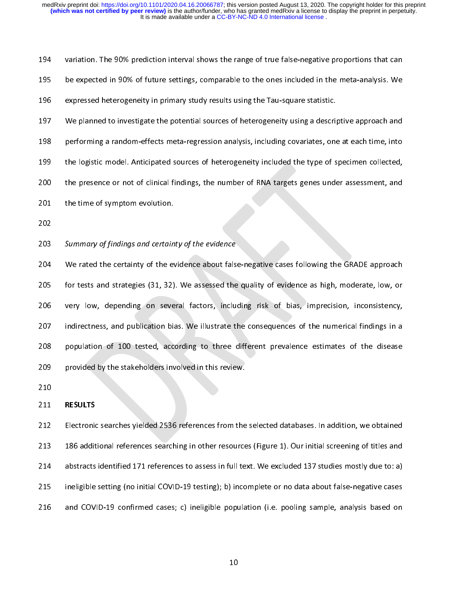| 194 | variation. The 90% prediction interval shows the range of true false-negative proportions that can |
|-----|----------------------------------------------------------------------------------------------------|
| 195 | be expected in 90% of future settings, comparable to the ones included in the meta-analysis. We    |
| 196 | expressed heterogeneity in primary study results using the Tau-square statistic.                   |
| 197 | We planned to investigate the potential sources of heterogeneity using a descriptive approach and  |
| 198 | performing a random-effects meta-regression analysis, including covariates, one at each time, into |
| 199 | the logistic model. Anticipated sources of heterogeneity included the type of specimen collected,  |
| 200 | the presence or not of clinical findings, the number of RNA targets genes under assessment, and    |
| 201 | the time of symptom evolution.                                                                     |
| 202 |                                                                                                    |
| 203 | Summary of findings and certainty of the evidence                                                  |
| 204 | We rated the certainty of the evidence about false-negative cases following the GRADE approach     |
| 205 | for tests and strategies (31, 32). We assessed the quality of evidence as high, moderate, low, or  |
| 206 | very low, depending on several factors, including risk of bias, imprecision, inconsistency,        |
| 207 | indirectness, and publication hias. We illustrate the consequences of the numerical findings in a  |

199 the logistic model. Anticipated sources of heterogeneity included the type of specimen conected,<br>
1990 the presence or not of clinical findings, the number of RNA targets genes under assessment, and<br>
1991 the time of s 202<br>202<br>202 *Summary of findings and certainty of the evidence*<br>204 We rated the certainty of the evidence about false-negative cases following the GRADE approach<br>205 for tests and strategies (31, 32). We assessed the qual 202<br>
202<br>
203 Summary of findings and certain<br>
204 We rated the certainty of the evolution<br>
205 for tests and strategies (31, 32)<br>
206 very low, depending on seve<br>
207 indirectness, and publication bis<br>
208 population of 1 ---<br>203<br>204<br>205<br>206<br>207<br>208<br>209<br>210 203 Summary of financy of findings and certainty of the evidence about false<br>205 for tests and strategies (31, 32). We assessed the<br>206 very low, depending on several factors, inclu-<br>207 indirectness, and publication bias. 205 for tests and strategies (31, 32). We assessed the quality of evidence as high, moderate, low, or<br>206 very low, depending on several factors, including risk of bias, imprecision, inconsistency,<br>207 indirectness, and pu 205 for tests and publication bias. We illustrate the consequences of the numerical findings in a<br>208 for tests and publication bias. We illustrate the consequences of the numerical findings in a<br>208 population of 100 test

indirectness, and publication bias. We illustrate the consequences of the numerical findings in a<br>
208 population of 100 tested, according to three different prevalence estimates of the disease<br>
209 provided by the stakeho 208 population of 100 tested, according to three different prevalence estimates of the disease<br>209 provided by the stakeholders involved in this review.<br>210<br>212 Electronic searches yielded 2536 references from the selected provided by the stakeholders involved in this review.<br>
210<br>
212 Electronic searches yielded 2536 references from the selected databases. In addition, we obtained<br>
213 Electronic searches yielded 2536 references from the se 210<br>
211 **RESULTS**<br>
212 Electronic searches yielded 2536 references from the<br>
213 186 additional references searching in other resource<br>
214 abstracts identified 171 references to assess in full te<br>
215 ineligible setting ---<br>211<br>212<br>213<br>214<br>215<br>216 211 RESULTS<br>212 Electronic<br>213 186 addit<br>214 abstracts<br>215 ineligible<br>216 and COV 213 186 additional references searching in other resources (Figure 1). Our initial screening of titles and<br>214 abstracts identified 171 references to assess in full text. We excluded 137 studies mostly due to: a)<br>215 ineli 214 abstracts identified 171 references to assess in full text. We excluded 137 studies mostly due to: a)<br>215 ineligible setting (no initial COVID-19 testing); b) incomplete or no data about false-negative cases<br>216 and CO ineligible setting (no initial COVID-19 testing); b) incomplete or no data about false-negative cases<br>
216 and COVID-19 confirmed cases; c) ineligible population (i.e. pooling sample, analysis based on<br>
10 216 and COVID-19 confirmed cases; c) ineligible population (i.e. pooling sample, analysis based on  $10$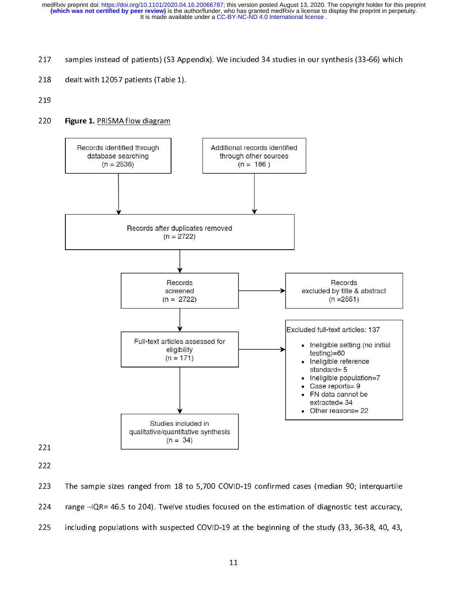- 
- 
- 



222

---<br>222<br>223<br>224<br>225 223<br>224<br>225 224 range  $-IQR = 46.5$  to 204). Twelve studies focused on the estimation of diagnostic test accuracy,<br>225 including populations with suspected COVID-19 at the beginning of the study (33, 36-38, 40, 43,<br>11 225 including populations with suspected COVID-19 at the beginning of the study (33, 36-38, 40, 43,  $11$ 225 including populations with suspected COVID-19 at the beginning of the study (33, 36-38, 40, 43,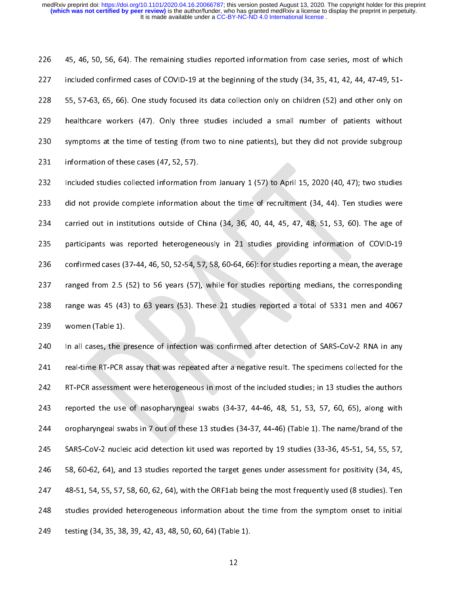Aius Heild 227 included confirmed cases of COVID-19 at the beginning of the study (34, 35, 41, 42, 44, 47-49, 51-<br>228 55, 57-63, 65, 66). One study focused its data collection only on children (52) and other only on<br>229 healthcare wo

228 55, 57-63, 65, 66). One study focused its data collection only on children (52) and other only on<br>
229 healthcare workers (47). Only three studies included a small number of patients without<br>
230 symptoms at the time healthcare workers (47). Only three studies included a small number of patients without<br>230 symptoms at the time of testing (from two to nine patients), but they did not provide subgroup<br>231 information of these cases (47, Example a statisticare workers (47, 52, 57).<br>
229 information of these cases (47, 52, 57).<br>
232 Included studies collected information from January 1 (57) to April 15, 2020 (40, 47); two studies<br>
233 did not provide comple information of these cases (47, 52, 57).<br>
232 Included studies collected information from January 1 (57) to April 15, 2020 (40, 47); two studies<br>
233 did not provide complete information about the time of recruitment (34, 232 Included studies collected information<br>
233 did not provide complete information<br>
234 carried out in institutions outside of C<br>
235 participants was reported heterogene<br>
236 confirmed cases (37-44, 46, 50, 52-54, 5<br>
2 232 Included studies complete information about the time of recruitment (34, 44). Ten studies were<br>234 carried out in institutions outside of China (34, 36, 40, 44, 45, 47, 48, 51, 53, 60). The age of<br>235 participants was carried out in institutions outside of China (34, 36, 40, 44, 45, 47, 48, 51, 53, 60). The age of<br>
235 participants was reported heterogeneously in 21 studies providing information of COVID-19<br>
236 confirmed cases (37-44, participants was reported heterogeneously in 21 studies providing information of COVID-19<br>
234 confirmed cases (37-44, 46, 50, 52-54, 57, 58, 60-64, 66); for studies reporting a mean, the average<br>
237 ranged from 2.5 (52)

confirmed cases (37-44, 46, 50, 52-54, 57, 58, 60-64, 66): for studies reporting a mean, the average<br>
ranged from 2.5 (52) to 56 years (57), while for studies reporting medians, the corresponding<br>
range was 45 (43) to 63 y ranged from 2.5 (52) to 56 years (57), while for studies reporting medians, the corresponding<br>
238 range was 45 (43) to 63 years (53). These 21 studies reported a total of 5331 men and 4067<br>
239 women (Table 1).<br>
240 In a 238 range was 45 (43) to 63 years (53). These 21 studies reported a total of 5331 men and 4067 women (Table 1).<br>
239 women (Table 1).<br>
240 In all cases, the presence of infection was confirmed after detection of SARS-CoV-2 women (Table 1).<br>
240 In all cases, the presence of infection was confirmed after detection of SARS-CoV-2 RNA in any<br>
241 real-time RT-PCR assay that was repeated after a negative result. The specimens collected for the<br>
2 240 In all cases, the p<br>241 real-time RT-PCR a<br>242 RT-PCR assessmer<br>243 reported the use<br>244 oropharyngeal sw<br>245 SARS-CoV-2 nucle<br>245 SARS-CoV-2 nucle<br>246 58, 60-62, 64), an<br>247 48-51, 54, 55, 57, real-time RT-PCR assay that was repeated after a negative result. The specimens collected for the<br>
242 RT-PCR assessment were heterogeneous in most of the included studies; in 13 studies the authors<br>
243 reported the use RT-PCR assessment were heterogeneous in most of the included studies; in 13 studies the authors<br>
243 reported the use of nasopharyngeal swabs (34-37, 44-46, 48, 51, 53, 57, 60, 65), along with<br>
244 oropharyngeal swabs in 7 reported the use of nasopharyngeal swabs (34-37, 44-46, 48, 51, 53, 57, 60, 65), along with<br>
243 reported the use of nasopharyngeal swabs (34-37, 44-46) (Table 1). The name/brand of the<br>
245 SARS-CoV-2 nucleic acid detecti comparying al swabs in 7 out of these 13 studies (34-37, 44-46) (Table 1). The name/brand of the<br>
245 SARS-CoV-2 nucleic acid detection kit used was reported by 19 studies (33-36, 45-51, 54, 55, 57,<br>
246 SARS-CoV-2 nucleic 245 SARS-CoV-2 nucleic acid detection kit used was reported by 19 studies (33-36, 45-51, 54, 55, 57, 58, 60-62, 64), and 13 studies reported the target genes under assessment for positivity (34, 45, 247 48-51, 54, 55, 57, 246 58, 60-62, 64), and 13 studies reported the target genes under assessment for positivity (34, 45, 48-51, 54, 55, 57, 58, 60, 62, 64), with the ORF1ab being the most frequently used (8 studies). Ten studies provided het 247 48-51, 54, 55, 57, 58, 60, 62, 64), with the ORF1ab being the most frequently used (8 studies). Ten<br>248 studies provided heterogeneous information about the time from the symptom onset to initial<br>249 testing (34, 35, 3 248 studies provided heterogeneous information about the time from the symptom onset to initial<br>249 testing (34, 35, 38, 39, 42, 43, 48, 50, 60, 64) (Table 1).<br>249  $\frac{12}{12}$ 249 testing (34, 35, 38, 39, 42, 43, 48, 50, 60, 64) (Table 1).<br>12 249 testing (34, 35, 38, 39, 42, 43, 48, 50, 60, 64) (Table 1).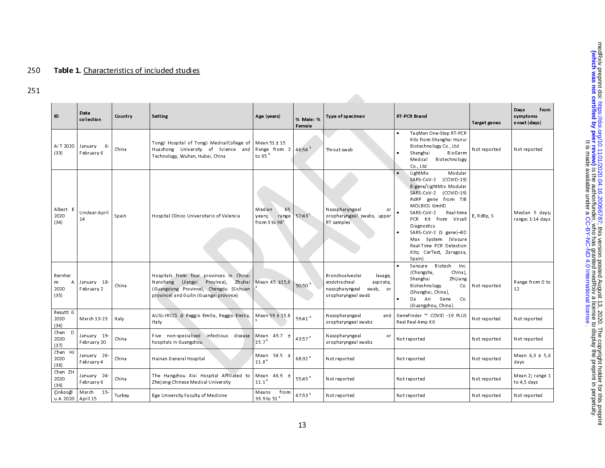# 250 Table 1. Characteristics of included studies

251

| ID                                | Data<br>collection          | Country | <b>Setting</b>                                                                                                                                                            | Age (years)                                                  | % Male: %<br>Female | Type of specimen                                                                                             | <b>RT-PCR Brand</b>                                                                                                                                                                                                                                                                                                                   | <b>Target genes</b> | Days<br>from<br>symptoms<br>onset (days) |
|-----------------------------------|-----------------------------|---------|---------------------------------------------------------------------------------------------------------------------------------------------------------------------------|--------------------------------------------------------------|---------------------|--------------------------------------------------------------------------------------------------------------|---------------------------------------------------------------------------------------------------------------------------------------------------------------------------------------------------------------------------------------------------------------------------------------------------------------------------------------|---------------------|------------------------------------------|
| Ai T 2020<br>(33)                 | January<br>6-<br>February 6 | China   | Tongji Hospital of Tongji MedicalCollege of<br>Huazhong University of Science and<br>Technology, Wuhan, Hubei, China                                                      | Mean $51 \pm 15$<br>Range from 2<br>to 95 <sup>b</sup>       | 46.54 <sup>b</sup>  | Throat swab                                                                                                  | TagMan One-Step RT-PCR<br>Kits from Shanghai Huirui<br>Biotechnology Co., Ltd<br>BioGerm<br>Shanghai<br>$\bullet$<br>Medical<br>Biotechnology<br>Co., Ltd                                                                                                                                                                             | Not reported        | Not reported                             |
| Albert E<br>2020<br>(34)          | Unclear-April<br>14         | Spain   | Hospital Clínico Universitario of Valencia                                                                                                                                | 65<br>Median<br>range<br>years;<br>from 3 to 98 <sup>°</sup> | 57.43 $\degree$     | Nasopharyngeal<br>or<br>or opharyngeal swabs, upper<br>RT samples                                            | LightMix<br>Modular<br>SARS-CoV-2 (COVID-19)<br>E-gene/LightMix Modular<br>SARS-CoV-2 (COVID-19)<br>RdRP gene from TIB<br>MOLBIOL GmHD<br>SARS-CoV-2<br>Real-time<br>PCR Kit from Vircell<br><b>Diagnostics</b><br>SARS-CoV-2 (S gene)-BD<br>(Viasure<br>Max System<br>Real-Time PCR Detection<br>Kits; CerTest, Zaragoza,<br>Spain). | E, RdRp, S          | Median 5 days;<br>range: 1-14 days       |
| Bernhei<br>A<br>m<br>2020<br>(35) | January 18-<br>February 2   | China   | Hospitals from four provinces in China:<br>(Jiangxi Province),<br>Zhuhai<br>Nanchang<br>(Guangdong Province), Chengdu (Sichuan<br>province) and Guilin (Guangxi province) | Mean 45 ±15,6                                                | 50:50 <sup>b</sup>  | Bronchoalveolar<br>lavage,<br>aspirate,<br>endotracheal<br>nasopharyngeal swab,<br>or<br>or opharyngeal swab | Biotech<br>Inc.<br>Sansure<br>(Changsha,<br>China),<br>Shanghai<br>Zhijiang<br>Biotechnology<br>Co.<br>(Shanghai, China),<br>Da An<br>Gene<br>Co.<br>(Guangzhou, China).                                                                                                                                                              | Not reported        | Range from 0 to<br>12                    |
| Besutti G<br>2020<br>(36)         | March 13-23                 | Italy   | AUSL-IRCCS di Reggio Emilia, Reggio Emilia,<br>Italy                                                                                                                      | Mean 59 ± 15.8                                               | 59.41 $b$           | Nasopharyngeal<br>and<br>or opharyngeal swabs                                                                | GeneFinder ™ COVID -19 PLUS<br>Real Real Amp Kit                                                                                                                                                                                                                                                                                      | Not reported        | Not reported                             |
| D<br>Chen<br>2020<br>(37)         | January 19-<br>February 20  | China   | Five non-specialised<br>infectious disease<br>hospitals in Guangzhou                                                                                                      | Mean 49.7 ±<br>15.7 <sup>a</sup>                             | 43.57 <sup>a</sup>  | Nasopharyngeal<br>or<br>or opharyngeal swabs                                                                 | Not reported                                                                                                                                                                                                                                                                                                                          | Not reported        | Not reported                             |
| Chen HJ<br>2020<br>(38)           | January 26-<br>February 4   | China   | Hainan General Hospital                                                                                                                                                   | Mean $54.5 \pm$<br>11.8 <sup>a</sup>                         | 68.32 <sup>a</sup>  | Not reported                                                                                                 | Not reported                                                                                                                                                                                                                                                                                                                          | Not reported        | Mean $6.3 \pm 5.6$<br>days               |
| Chen ZH<br>2020<br>(39)           | January 24-<br>February 6   | China   | The Hangzhou Xixi Hospital Affiliated to<br>Zhejiang Chinese Medical University                                                                                           | Mean $46.9$ $\pm$<br>11.1 <sup>a</sup>                       | 55:45 <sup>a</sup>  | Not reported                                                                                                 | Not reported                                                                                                                                                                                                                                                                                                                          | Not reported        | Mean 2; range 1<br>to 4,5 days           |
| Cinkooğl<br>u A 2020              | $15 -$<br>March<br>April 15 | Turkey  | Ege University Faculty of Medicine                                                                                                                                        | from<br>Means<br>39.9 to 51 <sup>a</sup>                     | 47:53 <sup>a</sup>  | Not reported                                                                                                 | Not reported                                                                                                                                                                                                                                                                                                                          | Not reported        | Not reported                             |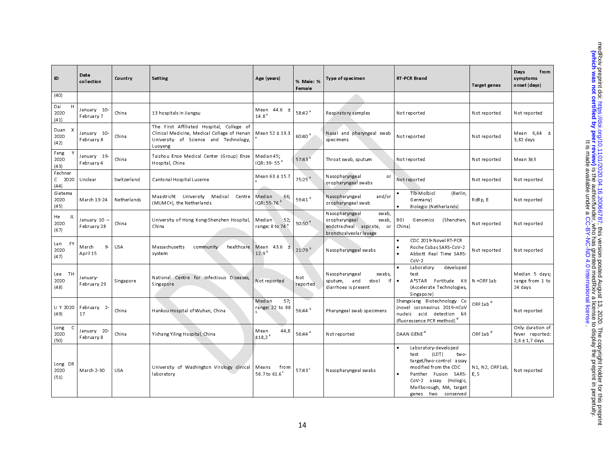| ID                               | Data<br>collection          | Country     | Setting                                                                                                                                      | Age (years)                                | % Male: %<br>Female | Type of specimen                                                                                             | <b>RT-PCR Brand</b>                                                                                                                                                                                                               | <b>Target genes</b>     | Days<br>from<br>symptoms<br>onset (days)                  |
|----------------------------------|-----------------------------|-------------|----------------------------------------------------------------------------------------------------------------------------------------------|--------------------------------------------|---------------------|--------------------------------------------------------------------------------------------------------------|-----------------------------------------------------------------------------------------------------------------------------------------------------------------------------------------------------------------------------------|-------------------------|-----------------------------------------------------------|
| (40)                             |                             |             |                                                                                                                                              |                                            |                     |                                                                                                              |                                                                                                                                                                                                                                   |                         |                                                           |
| H.<br>Dai<br>2020<br>(41)        | January 10-<br>February 7   | China       | 13 hospitals in Jiangsu                                                                                                                      | Mean 44.6 ±<br>14.8 <sup>a</sup>           | 5842 <sup>a</sup>   | Respiratory samples                                                                                          | Not reported                                                                                                                                                                                                                      | Not reported            | Not reported                                              |
| Duan<br>2020<br>(42)             | January 10-<br>February 8   | China       | The First Affiliated Hospital, College of<br>Clinical Medicine, Medical College of Henan<br>University of Science and Technology,<br>Luoyang | Mean 52 ± 19.3                             | 60.40 <sup>3</sup>  | Nasal and pharyngeal swab<br>specim ens                                                                      | Not reported                                                                                                                                                                                                                      | Not reported            | Mean $6,64$ $\pm$<br>3,82 days                            |
| Fang<br>2020<br>(43)             | January 19-<br>February 4   | China       | Taizhou Enze Medical Center (Group) Enze<br>Hospital, China                                                                                  | Median 45;<br>IQR: 39-55 <sup>a</sup>      | 57.43 <sup>a</sup>  | Throat swab, sputum                                                                                          | Not reported                                                                                                                                                                                                                      | Not reported            | Mean 3±3                                                  |
| Fechner<br>$C$ 2020<br>(44)      | Unclear                     | Switzerland | Cantonal Hospital Lucerne                                                                                                                    | Mean 63 ± 15.7                             | 75:25 <sup>a</sup>  | Nasopharyngeal<br>or<br>or opharyngeal swabs                                                                 | Not reported                                                                                                                                                                                                                      | Not reported            | Not reported                                              |
| Gietema<br>2020<br>(45)          | March 13-24                 | Netherlands | Maastricht University<br>Medical<br>Centre<br>(MUMC+), the Netherlands                                                                       | Median<br>66;<br>IQR: 55-76 <sup>b</sup>   | 59:41 <sup>b</sup>  | and/or<br>Nasopharyngeal<br>or opharyngeal swab                                                              | Tib-Molbiol<br>(Berlin,<br>Germany)<br>Biolegio (Netherlands)<br>$\bullet$                                                                                                                                                        | RdRp, E                 | Not reported                                              |
| He<br>JL<br>2020<br>(67)         | January 10 -<br>February 28 | China       | University of Hong Kong-Shenzhen Hospital,<br>China                                                                                          | Median<br>52,<br>range: 8 to 74            | $50:50^{a}$         | Nasopharyngeal<br>swab,<br>or opharyngeal<br>swab,<br>endotracheal aspirate,<br>or<br>bronchoalveolar lavage | BGI<br>(Shenzhen,<br>Genomics<br>China)                                                                                                                                                                                           | Not reported            | Not reported                                              |
| <b>FY</b><br>Lan<br>2020<br>(47) | $9-$<br>March<br>April 15   | <b>USA</b>  | healthcare<br>Massachusetts<br>community<br>system                                                                                           | Mean $43.6$ $\pm$<br>12.9 <sup>b</sup>     | 21:79 b             | Nasopharyngeal swabs                                                                                         | CDC 2019-Novel RT-PCR<br>$\bullet$<br>$\bullet$<br>Roche Cobas SARS-CoV-2<br>Abbott Real Time SARS-<br>$\bullet$<br>$Cov-2$                                                                                                       | Not reported            | Not reported                                              |
| Lee TH<br>2020<br>(48)           | January-<br>February 29     | Singapore   | National Centre for Infectious Diseases.<br>Singapore                                                                                        | Not reported                               | Not<br>reported     | Nasopharyngeal<br>swabs,<br>and<br>stool<br>if<br>sputum,<br>diarrhoea is present                            | Laboratory<br>developed<br>test<br>$\bullet$<br>A*STAR Fortitude<br>Kit<br>(Accelerate Technologies,<br>Singapore)                                                                                                                | N+ORF1ab                | Median 5 days;<br>range from 1 to<br>24 days              |
| Li Y 2020<br>(49)                | February 2-<br>17           | China       | Hankou Hospital of Wuhan, China                                                                                                              | 57;<br>Median<br>range: 22 to 88           | 56.44 $b$           | Pharyngeal swab specimens                                                                                    | Shengxiang Biotechnology Co<br>(novel coronavirus 2019-nCoV<br>nucleic acid detection kit<br>(fluorescence PCR method) <sup>d</sup>                                                                                               | $ORF1ab$ <sup>d</sup>   | Not reported                                              |
| Long<br>C<br>2020<br>(50)        | January 20-<br>February 8   | China       | Yichang Yiling Hospital, China                                                                                                               | 44,8<br>Mean<br>±18,2 <sup>a</sup>         | 56.44 <sup>a</sup>  | Not reported                                                                                                 | DAAN GENE <sup>d</sup>                                                                                                                                                                                                            | ORF1ab <sup>d</sup>     | Only duration of<br>fever reported:<br>$2,6 \pm 1,7$ days |
| Long DR<br>2020<br>(51)          | March 2-30                  | <b>USA</b>  | University of Washington Virology clinical<br>laboratory                                                                                     | Means<br>from<br>56.7 to 61.6 <sup>c</sup> | 57.43 <sup>c</sup>  | Nasopharyngeal swabs                                                                                         | Laboratory-developed<br>$\bullet$<br>(LDT)<br>two-<br>test<br>target/two-control assay<br>modified from the CDC<br>Fusion SARS<br>$\bullet$<br>Panther<br>CoV-2 assay (Hologic,<br>Marlborough, MA, target<br>genes two conserved | N1, N2, ORF1ab,<br>E, S | Not reported                                              |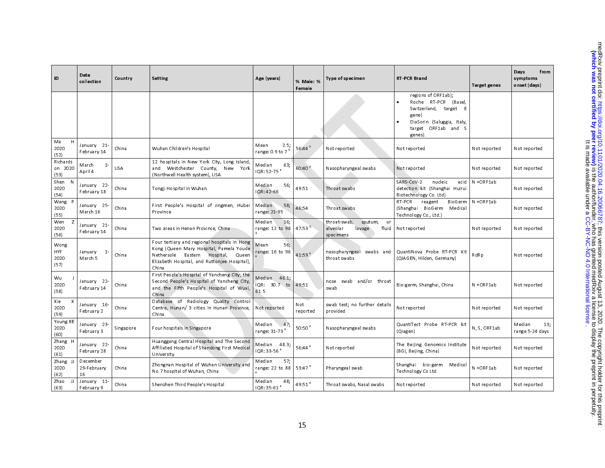| ID                            | Data<br>collection            | Country    | Setting                                                                                                                                                                                         | Age (years)                                | % Male: %<br>Female | Type of specimen                                                          | <b>RT-PCR Brand</b>                                                                                                                          | <b>Target genes</b> | Days<br>from<br>symptoms<br>onset (days) |
|-------------------------------|-------------------------------|------------|-------------------------------------------------------------------------------------------------------------------------------------------------------------------------------------------------|--------------------------------------------|---------------------|---------------------------------------------------------------------------|----------------------------------------------------------------------------------------------------------------------------------------------|---------------------|------------------------------------------|
|                               |                               |            |                                                                                                                                                                                                 |                                            |                     |                                                                           | regions of ORF1ab);<br>Roche RT-PCR (Basel,<br>Switzerland, target E<br>gene)<br>DiaSorin (Saluggia, Italy,<br>target ORF1ab and S<br>genes) |                     |                                          |
| H<br>Ma<br>2020<br>(52)       | January 21-<br>February 14    | China      | Wuhan Children's Hospital                                                                                                                                                                       | 2.5,<br>Mean<br>range: $0.9$ to $73$       | 56:44 <sup>a</sup>  | Not reported                                                              | Not reported                                                                                                                                 | Not reported        | Not reported                             |
| Richards<br>on 2020<br>(53)   | March<br>$1 -$<br>April 4     | <b>USA</b> | 12 hospitals in New York City, Long Island,<br>and Westchester County, New York<br>(Northwell Health system), USA                                                                               | Median<br>63;<br>IQR: 52-75 <sup>a</sup>   | 60 40 <sup>a</sup>  | Nasopharyngeal swabs                                                      | Not reported                                                                                                                                 | Not reported        | Not reported                             |
| Shen<br>N<br>2020<br>(54)     | January 22-<br>February 18    | China      | Tongji Hospital in Wuhan                                                                                                                                                                        | Median<br>56;<br>IQR: 42-66                | 49.51               | Throat swabs                                                              | SARS-CoV-2<br>nucleic<br>acid<br>detection kit (Shanghai Huirui<br>Biotechnology Co. Ltd)                                                    | N+ORF1ab            | Not reported                             |
| <b>W</b> ang<br>2020<br>(55)  | January 25-<br>March 16       | China      | First People's Hospital of Jingmen, Hubei<br>Province                                                                                                                                           | Median<br>58,<br>range: 21-95              | 46.54               | Throat swabs                                                              | BioGerm<br>RT-PCR<br>reagent<br>BioGerm<br>Medical<br>(Shanghai<br>Technology Co., Ltd.)                                                     | N+ORF1ab            | Not reported                             |
| Wen<br>z<br>2020<br>(56)      | January 21-<br>February 14    | China      | Two areas in Henan Province, China                                                                                                                                                              | Median<br>16;<br>range: 12 to 98           | 47:53               | throat-swab,<br>sputum,<br>or<br>alveolar<br>lavage<br>fluid<br>specimens | Not reported                                                                                                                                 | Not reported        | Not reported                             |
| W ong<br>HYF.<br>2020<br>(57) | January<br>$1 -$<br>March 5   | China      | Four tertiary and regional hospitals in Hong<br>Kong (Queen Mary Hospital, Pamela Youde<br>Eastern<br>Hospital,<br>Nethersole<br>Queen<br>Elizabeth Hospital, and Ruttonjee Hospital),<br>China | Mean<br>56,<br>range: 16 to 96             | 41:59 <sup>a</sup>  | nasopharyngeal<br>swabs and<br>throat swabs                               | QuantiNova Probe RT-PCR Kit<br>(QIAGEN, Hilden, Germany)                                                                                     | RdRp                | Not reported                             |
| Wu<br>2020<br>(58)            | January 22-<br>February 14    | China      | First People's Hospital of Yancheng City, the<br>Second People's Hospital of Yancheng City,<br>and the Fifth People's Hospital of Wuxi,<br>China                                                | Median 46.1,<br>IQR:<br>30.7 to<br>61.5    | 49.51               | swab and/or throat<br>nose<br>swab                                        | Bio-germ, Shanghai, China                                                                                                                    | N+ORF1ab            | Not reported                             |
| Xie<br>X<br>2020<br>(59)      | January 16-<br>February 2     | China      | Database of Radiology Quality Control<br>Centre, Hunan/ 3 cities in Hunan Province,<br>China                                                                                                    | Not reported                               | Not<br>reported     | swab test; no further details<br>provided                                 | Not reported                                                                                                                                 | Not reported        | Not reported                             |
| Young BE<br>2020<br>(60)      | January 23-<br>February 3     | Singapore  | Four hospitals in Singapore                                                                                                                                                                     | 47;<br>Median<br>range: 31-73 <sup>ª</sup> | 50:50 <sup>3</sup>  | Nasopharyngeal swabs                                                      | QuantiTect Probe RT-PCR kit<br>(Qiagen)                                                                                                      | N. S. ORF1ab        | Median<br>13;<br>range 5-24 days         |
| Zhang H<br>2020<br>(61)       | January 22-<br>February 28    | China      | Huanggang Central Hospital and The Second<br>Affiliated Hospital of Shandong First Medical<br>University                                                                                        | Median 48.3;<br>IQR: 33-56 <sup>a</sup>    | 56:44 <sup>a</sup>  | Not reported                                                              | The Beijing Genomics Institute<br>(BGI, Beijing, China)                                                                                      | Not reported        | Not reported                             |
| Zhang JJ<br>2020<br>(62)      | December<br>29-February<br>16 | China      | Zhongnan Hospital of Wuhan University and<br>No. 7 hospital of Wuhan, China                                                                                                                     | 57;<br>Median<br>range: 22 to 88           | 53.47 <sup>a</sup>  | Pharyngeal swab                                                           | Shanghai bio-germ<br>Medical<br>Technology Co Ltd                                                                                            | N+ORF1ab            | Not reported                             |
| Zhao<br>IJ<br>(63)            | January 11-<br>February 9     | China      | Shenzhen Third People's Hospital                                                                                                                                                                | 48,<br>Median<br>IQR: 35-61 <sup>a</sup>   | 49.51 $a$           | Throat swabs, Nasal swabs                                                 | Not reported                                                                                                                                 | Not reported        | Not reported                             |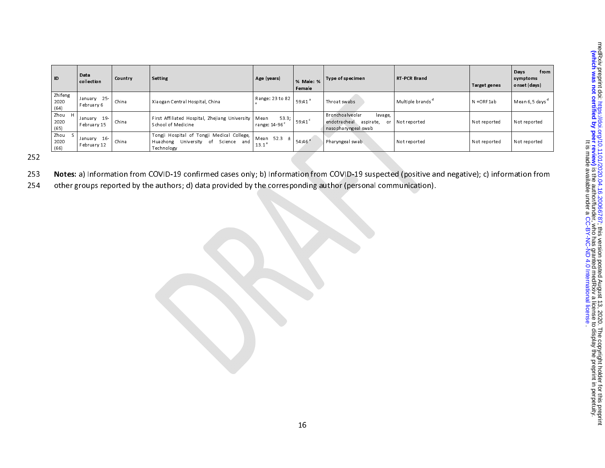| ID                        | Data<br>collection         | Country | Setting                                                                                          | Age (years)                                | % Male: %<br>Female  | Type of specimen                                                                            | <b>RT-PCR Brand</b>          | Target genes | from<br>Days<br>symptoms<br>onset (days) |
|---------------------------|----------------------------|---------|--------------------------------------------------------------------------------------------------|--------------------------------------------|----------------------|---------------------------------------------------------------------------------------------|------------------------------|--------------|------------------------------------------|
| Zhifeng<br>2020<br>(64)   | January 25-<br>February 6  | China   | Xiaogan Central Hospital, China                                                                  | Range: 23 to 82                            | $59.41$ <sup>a</sup> | Throat swabs                                                                                | Multiple brands <sup>a</sup> | N+ORF1ab     | Mean 6,5 days <sup>a</sup>               |
| Zhou<br>H<br>2020<br>(65) | January 19-<br>February 15 | China   | First Affiliated Hospital, Zhejiang University<br>School of Medicine                             | 53.3;<br>Mean<br>range: 14-96 <sup>c</sup> | 59 41 <sup>c</sup>   | Bronchoalveolar<br>lavage,<br>endotracheal<br>aspirate,<br><b>or</b><br>nasopharyngeal swab | Not reported                 | Not reported | Not reported                             |
| Zhou<br>2020<br>(66)      | January 16-<br>February 12 | China   | Tongji Hospital of Tongji Medical College,  <br>Huazhong University of Science and<br>Technology | Mean $52.3 \pm$<br>13.1 <sup>3</sup>       | 54 46 <sup>a</sup>   | Pharyngeal swab                                                                             | Not reported                 | Not reported | Not reported                             |

252

- 253 Notes: a) Information from COVID-19 confirmed cases only; b) Information from COVID-19 suspected (positive and negative); c) information from
- 254 other groups reported by the authors; d) data provided by the corresponding author (personal communication).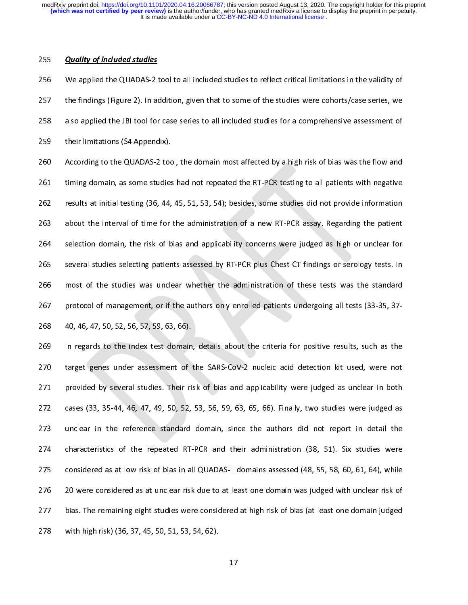$\frac{1}{1}$ 255 **Quanty of included statics**<br>256 We applied the QUADAS-2 1<br>257 the findings (Figure 2). In ac 256 We applied the QUADAS-2 tool to all included studies to reflect critical limitations in the validity of<br>257 the findings (Figure 2). In addition, given that to some of the studies were cohorts/case series, we<br>258 also 258 also applied the JBI tool for case series to all included studies for a comprehensive assessment of<br>259 their limitations (S4 Appendix).<br>260 According to the QUADAS-2 tool, the domain most affected by a high risk of bi 259 their limitations (S4 Appendix).<br>260 According to the QUADAS-2 tool, the domain most affected by a high risk of bias was the flow and<br>261 timing domain, as some studies had not repeated the RT-PCR testing to all patien 260 According to the QUADAS-2 too<br>261 timing domain, as some studies<br>262 results at initial testing (36, 44, 260 According to the QUADAS-2 tool, the domain most affected by a high risk of bias was the flow and<br>261 timing domain, as some studies had not repeated the RT-PCR testing to all patients with negative<br>262 results at initi 264 selection domain, the risk of bias and applicability concerns were judged as high or unclear for 263 about the interval of time for the administration of a new RT-PCR assay. Regarding the patient<br>264 selection domain, the risk of bias and applicability concerns were judged as high or unclear for<br>265 several studies se 264 selection domain, the risk of bias and applicability concerns were judged as high or unclear for<br>265 several studies selecting patients assessed by RT-PCR plus Chest CT findings or serology tests. In<br>266 most of the st 265 several studies selecting patients assessed by RT-PCR plus Chest CT findings or serology tests. In<br>266 most of the studies was unclear whether the administration of these tests was the standard<br>267 protocol of manageme 266 most of the studies was unclear whether the administration of these tests was the standard<br>267 protocol of management, or if the authors only enrolled patients undergoing all tests (33-35, 37-<br>268 40, 46, 47, 50, 52, 5 267 most of management, or if the authors only enrolled patients undergoing all tests (33-35, 37-<br>268 40, 46, 47, 50, 52, 56, 57, 59, 63, 66).<br>269 In regards to the index test domain, details about the criteria for positiv

268 40, 46, 47, 50, 52, 56, 57, 59, 63, 66).<br>269 In regards to the index test domain, details about the criteria for positive results, such as the<br>270 target genes under assessment of the SARS-CoV-2 nucleic acid detection 269 In regards to the index test domain<br>270 target genes under assessment of<br>271 provided by several studies. Their ri 270 target genes under assessment of the SARS-CoV-2 nucleic acid detection kit used, were not<br>271 provided by several studies. Their risk of bias and applicability were judged as unclear in both<br>272 cases (33, 35-44, 46, 4 271 provided by several studies. Their risk of bias and applicability were judged as unclear in both<br>272 cases (33, 35-44, 46, 47, 49, 50, 52, 53, 56, 59, 63, 65, 66). Finally, two studies were judged as<br>273 unclear in the 272 cases (33, 35-44, 46, 47, 49, 50, 52, 53, 56, 59, 63, 65, 66). Finally, two studies were judged as unclear in the reference standard domain, since the authors did not report in detail the characteristics of the repeate 273 unclear in the reference standard domain, since the authors did not report in detail the<br>274 characteristics of the repeated RT-PCR and their administration (38, 51). Six studies were<br>275 considered as at low risk of b 273 unclear in the reference standard domain, since the authors did not report in detail the<br>274 characteristics of the repeated RT-PCR and their administration (38, 51). Six studies were<br>275 considered as at low risk of b considered as at low risk of bias in all QUADAS-II domains assessed (48, 55, 58, 60, 61, 64), while<br>276 20 were considered as at unclear risk due to at least one domain was judged with unclear risk of<br>277 bias. The remaini 276 20 were considered as at unclear risk due to at least one domain was judged with unclear risk of<br>277 bias. The remaining eight studies were considered at high risk of bias (at least one domain judged<br>278 with high ris 277 bias. The remaining eight studies were considered at high risk of bias (at least one domain judged with high risk) (36, 37, 45, 50, 51, 53, 54, 62).<br>278 with high risk) (36, 37, 45, 50, 51, 53, 54, 62). 278 with high risk) (36, 37, 45, 50, 51, 53, 54, 62).<br>17  $278$  with high risk) (36, 37, 45, 50, 51, 51, 51, 51, 51, 51, 51, 62).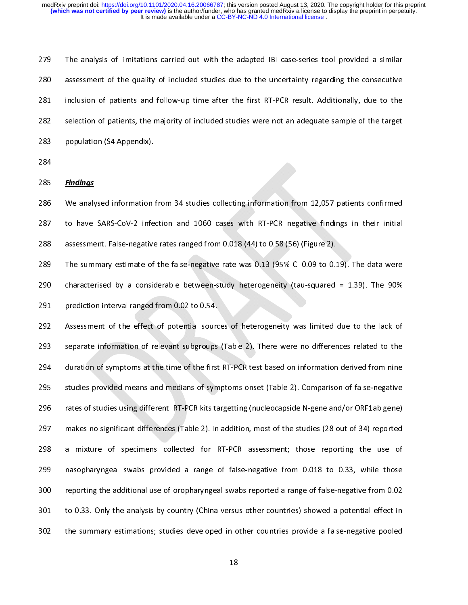$\frac{1}{2}$ 279 The analysis of limitations carried out with the adapted JBI case-series tool provided a similar<br>280 assessment of the quality of included studies due to the uncertainty regarding the consecutive<br>281 inclusion of patie 281 inclusion of patients and follow-up time after the first RT-PCR result. Additionally, due to the<br>282 selection of patients, the majority of included studies were not an adequate sample of the target<br>283 population (S4 282 selection of patients, the majority of included studies were not an adequate sample of the target<br>283 population (S4 Appendix).<br>284 283 population (S4 Appendix).<br>284<br>285 <u>Findings</u>

284<br>285 <u>Findings</u><br>286 We analysed information 285<br>286<br>287 285 <u>Finanties</u><br>286 Weanaly<br>287 to have<br>288 assessme 287 to have SARS-CoV-2 infection and 1060 cases with RT-PCR negative findings in their initial<br>288 assessment. False-negative rates ranged from 0.018 (44) to 0.58 (56) (Figure 2).<br>289 The summary estimate of the false-nega

288 assessment. False-negative rates ranged from 0.018 (44) to 0.58 (56) (Figure 2).<br>289 The summary estimate of the false-negative rate was 0.13 (95% Cl 0.09 to 0.19). The data were<br>290 characterised by a considerable bet 289 The summary estimate of the false-negative rate was 0.13 (95% Cl 0.09 to 0.1<br>290 characterised by a considerable between-study heterogeneity (tau-squared<br>291 prediction interval ranged from 0.02 to 0.54. The summary estimate of the false-negative rate was 0.13 (95% CI 0.09 to 0.19). The data were<br>
290 characterised by a considerable between-study heterogeneity (tau-squared = 1.39). The 90%<br>
291 prediction interval ranged f

291 prediction interval ranged from 0.02 to 0.54.<br>292 Assessment of the effect of potential sources of heterogeneity was limited due to the lack of<br>293 separate information of relevant subgroups (Table 2). There were no di 292 Assessment of the effect of potential sourc<br>293 separate information of relevant subgroups<br>294 duration of symptoms at the time of the first 293 separate information of relevant subgroups (Table 2). There were no differences related to the duration of symptoms at the time of the first RT-PCR test based on information derived from nine studies provided means and 293 separate information of relevant subgroups (Table 2). There were no differences related to the<br>294 duration of symptoms at the time of the first RT-PCR test based on information derived from nine<br>295 studies provided m 295 studies provided means and medians of symptoms onset (Table 2). Comparison of false-negative<br>296 rates of studies using different RT-PCR kits targetting (nucleocapside N-gene and/or ORF1ab gene)<br>297 makes no significan 296 rates of studies using different RT-PCR kits targetting (nucleocapside N-gene and/or ORF1ab gene)<br>297 makes no significant differences (Table 2). In addition, most of the studies (28 out of 34) reported<br>298 a mixture o 297 makes no significant differences (Table 2). In addition, most of the studies (28 out of 34) reported<br>298 a mixture of specimens collected for RT-PCR assessment; those reporting the use of<br>299 nasopharyngeal swabs provi 297 makes no significant differences (Table 2). In addition, most of the studies (28 out of 34) reported<br>298 a mixture of specimens collected for RT-PCR assessment; those reporting the use of<br>299 nasopharyngeal swabs provi masopharyngeal swabs provided a range of false-negative from 0.018 to 0.33, while those<br>200 reporting the additional use of oropharyngeal swabs reported a range of false-negative from 0.02<br>201 to 0.33. Only the analysis by 299 nasopharyngeal swabs provided a range of false-negative from 0.018 to 0.33, while those 301 to 0.33. Only the analysis by country (China versus other countries) showed a potential effect in<br>302 the summary estimations; studies developed in other countries provide a false-negative pooled<br>302 18 302 the summary estimations; studies developed in other countries provide a false-negative pooled 18 302 the summary estimations; studies developed in other countries provide a false-negative pooled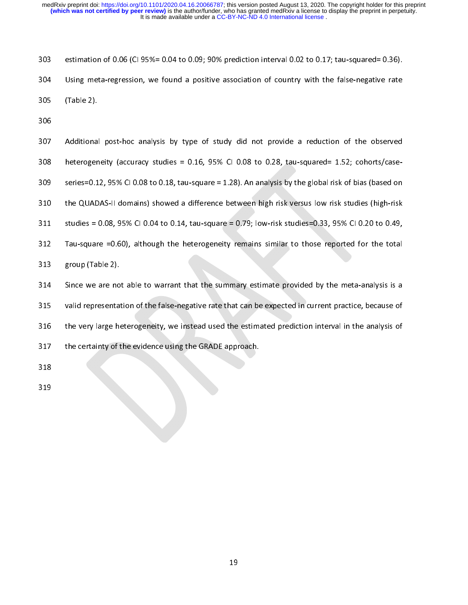،<br>ا 303 estimation of 0.06 (CI 95%= 0.04 to 0.09; 90% prediction interval 0.02 to 0.17; tau-squared= 0.36).<br>304 Using meta-regression, we found a positive association of country with the false-negative rate<br>305 (Table 2).

305 (Table 2).<br>306<br>307 Additional post-hoc analysis by type of study did not provide a reduction of the observed 306<br>307 Additiona<br>308 heteroger ---<br>307<br>308<br>309 307 Additional post-hoc analysis by type of study did not provide a reduction of the observed<br>308 heterogeneity (accuracy studies = 0.16, 95% CI 0.08 to 0.28, tau-squared= 1.52; cohorts/case-<br>309 series=0.12, 95% CI 0.08 t 308 heterogeneity (accuracy studies = 0.16, 95% CI 0.08 to 0.28, tau-squared= 1.52; cohorts/case-310 the QUADAS-II domains) showed a difference between high risk versus low risk studies (high-risk studies = 0.08, 95% CI 0.04 to 0.14, tau-square = 0.79; low-risk studies=0.33, 95% CI 0.20 to 0.49, Tau-square =0.60), alt 311 studies = 0.08, 95% CI 0.04 to 0.14, tau-square = 0.79; low-risk studies=0.33, 95% CI 0.20 to 0.49,<br>312 Tau-square =0.60), although the heterogeneity remains similar to those reported for the total<br>313 group (Table 2) studies = 0.08, 95% CI 0.04 to 0.14, tau-square = 0.79; low-risk studies=0.33, 95% CI 0.20 to 0.49,<br>312 Tau-square =0.60), although the heterogeneity remains similar to those reported for the total<br>313 group (Table 2).<br>314 313 group (Table 2).<br>314 Since we are not able to warrant that the summary estimate provided by the meta-analysis is a<br>315 valid representation of the false-negative rate that can be expected in current practice, because o 314 Since we are no<br>315 valid representary<br>316 the very large he 315 valid representation of the false-negative rate that can be expected in current practice, because of<br>316 the very large heterogeneity, we instead used the estimated prediction interval in the analysis of<br>317 the certai valid representation of the false-negative rate that can be expected in current practice, because of<br>316 the very large heterogeneity, we instead used the estimated prediction interval in the analysis of<br>317 the certainty 317 the certainty of the evidence using the GRADE approach.<br>318<br>319 318<br>319 the certainty of the evidence using the GRADE approach. 318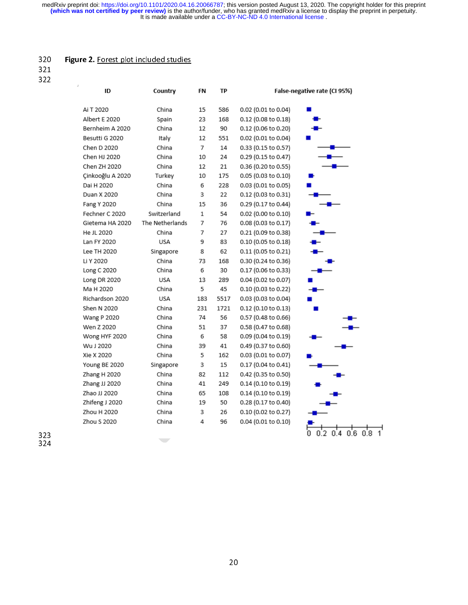# $\overline{a}$

| ID               | Country         | FN    | ТP   |                     | False-negative rate (CI 95%) |
|------------------|-----------------|-------|------|---------------------|------------------------------|
| Ai T 2020        | China           | 15    | 586  | 0.02 (0.01 to 0.04) |                              |
| Albert E 2020    | Spain           | 23    | 168  | 0.12 (0.08 to 0.18) |                              |
| Bernheim A 2020  | China           | 12    | 90   | 0.12 (0.06 to 0.20) |                              |
| Besutti G 2020   | Italy           | 12    | 551  | 0.02 (0.01 to 0.04) |                              |
| Chen D 2020      | China           | 7     | 14   | 0.33 (0.15 to 0.57) |                              |
| Chen HJ 2020     | China           | 10    | 24   | 0.29 (0.15 to 0.47) |                              |
| Chen ZH 2020     | China           | 12    | 21   | 0.36 (0.20 to 0.55) |                              |
| Çinkooğlu A 2020 | Turkey          | 10    | 175  | 0.05 (0.03 to 0.10) |                              |
| Dai H 2020       | China           | 6     | 228  | 0.03 (0.01 to 0.05) |                              |
| Duan X 2020      | China           | 3     | 22   | 0.12 (0.03 to 0.31) |                              |
| Fang Y 2020      | China           | 15    | 36   | 0.29 (0.17 to 0.44) |                              |
| Fechner C 2020   | Switzerland     | $1\,$ | 54   | 0.02 (0.00 to 0.10) |                              |
| Gietema HA 2020  | The Netherlands | 7     | 76   | 0.08 (0.03 to 0.17) |                              |
| He JL 2020       | China           | 7     | 27   | 0.21 (0.09 to 0.38) |                              |
| Lan FY 2020      | USA             | 9     | 83   | 0.10 (0.05 to 0.18) |                              |
| Lee TH 2020      | Singapore       | 8     | 62   | 0.11 (0.05 to 0.21) |                              |
| Li Y 2020        | China           | 73    | 168  | 0.30 (0.24 to 0.36) |                              |
| Long C 2020      | China           | 6     | 30   | 0.17 (0.06 to 0.33) |                              |
| Long DR 2020     | USA             | 13    | 289  | 0.04 (0.02 to 0.07) |                              |
| Ma H 2020        | China           | 5     | 45   | 0.10 (0.03 to 0.22) |                              |
| Richardson 2020  | USA             | 183   | 5517 | 0.03 (0.03 to 0.04) |                              |
| Shen N 2020      | China           | 231   | 1721 | 0.12 (0.10 to 0.13) |                              |
| Wang P 2020      | China           | 74    | 56   | 0.57 (0.48 to 0.66) |                              |
| Wen Z 2020       | China           | 51    | 37   | 0.58 (0.47 to 0.68) |                              |
| Wong HYF 2020    | China           | 6     | 58   | 0.09 (0.04 to 0.19) |                              |
| Wu J 2020        | China           | 39    | 41   | 0.49 (0.37 to 0.60) |                              |
| Xie X 2020       | China           | 5     | 162  | 0.03 (0.01 to 0.07) |                              |
| Young BE 2020    | Singapore       | 3     | 15   | 0.17 (0.04 to 0.41) |                              |
| Zhang H 2020     | China           | 82    | 112  | 0.42 (0.35 to 0.50) |                              |
| Zhang JJ 2020    | China           | 41    | 249  | 0.14 (0.10 to 0.19) |                              |
| Zhao JJ 2020     | China           | 65    | 108  | 0.14 (0.10 to 0.19) |                              |
| Zhifeng J 2020   | China           | 19    | 50   | 0.28 (0.17 to 0.40) |                              |
| Zhou H 2020      | China           | 3     | 26   | 0.10 (0.02 to 0.27) |                              |

323<br>324 323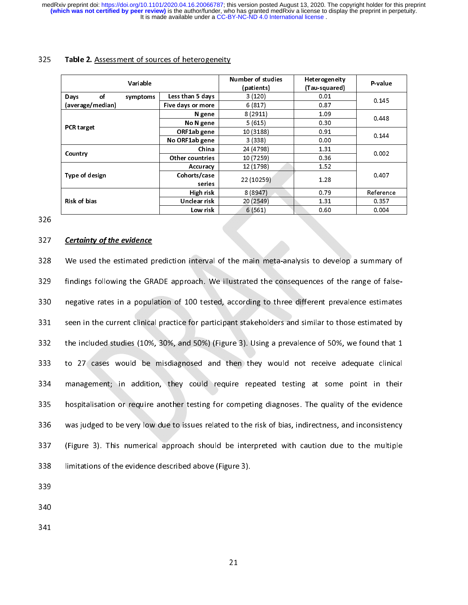|                        |                   | Number of studies | Heterogeneity |           |  |
|------------------------|-------------------|-------------------|---------------|-----------|--|
| Variable               |                   | (patients)        | (Tau-squared) | P-value   |  |
| of<br>Days<br>symptoms | Less than 5 days  | 3(120)            | 0.01          |           |  |
| (average/median)       | Five days or more | 6(817)            | 0.87          | 0.145     |  |
|                        | N gene            | 8(2911)           | 1.09          | 0.448     |  |
|                        | No N gene         | 5(615)            | 0.30          |           |  |
| <b>PCR target</b>      | ORF1ab gene       | 10 (3188)         | 0.91          |           |  |
|                        | No ORF1ab gene    | 3(338)            | 0.00          | 0.144     |  |
|                        | China             | 24 (4798)         | 131           |           |  |
| Country                | Other countries   | 10 (7259)         | 0.36          | 0.002     |  |
|                        | Accuracy          | 12 (1798)         | 1.52          |           |  |
| Type of design         | Cohorts/case      | 22 (10259)        | 1 2 8         | 0.407     |  |
|                        | series            |                   |               |           |  |
|                        | High risk         | 8(8947)           | 0.79          | Reference |  |
| Risk of bias           | Unclear risk      | 20 (2549)         | 131           | 0.357     |  |
|                        | Low risk          | 6(561)            | 0.60          | 0.004     |  |

326

327<br>328<br>329 328 We used the estimated p<br>329 findings following the GR.<br>330 negative rates in a popul. 328 We used the estimated prediction interval of the main meta-analysis to develop a summary of<br>329 findings following the GRADE approach. We illustrated the consequences of the range of false-<br>330 negative rates in a popu 329 findings following the GRADE approach. We illustrated the consequences of the range of falseseen in the current clinical practice for participant stakeholders and similar to those estimated by<br>332 the included studies (10%, 30%, and 50%) (Figure 3). Using a prevalence of 50%, we found that 1<br>333 to 27 cases would the included studies (10%, 30%, and 50%) (Figure 3). Using a prevalence of 50%, we found that 1<br>333 to 27 cases would be misdiagnosed and then they would not receive adequate clinical<br>334 management; in addition, they coul 333 to 27 cases would be misdiagnosed and then they would not receive adequate clinical<br>334 management; in addition, they could require repeated testing at some point in their<br>335 hospitalisation or require another testing 334 management; in addition, they could require repeated testing at some point in their<br>335 hospitalisation or require another testing for competing diagnoses. The quality of the evidence<br>336 was judged to be very low due 335 hospitalisation or require another testing for competing diagnoses. The quality of the evidence<br>336 was judged to be very low due to issues related to the risk of bias, indirectness, and inconsistency<br>337 (Figure 3). T was judged to be very low due to issues related to the risk of bias, indirectness, and inconsistency<br>337 (Figure 3). This numerical approach should be interpreted with caution due to the multiple<br>338 limitations of the evi 337 (Figure 3). This numerical approach should be interpreted with caution due to the multiple<br>338 limitations of the evidence described above (Figure 3).<br>339 338 limitations of the evidence described above (Figure 3).<br>339<br>340  $339$ <br> $340$ <br> $341$ 

340<br>341 340

 $21$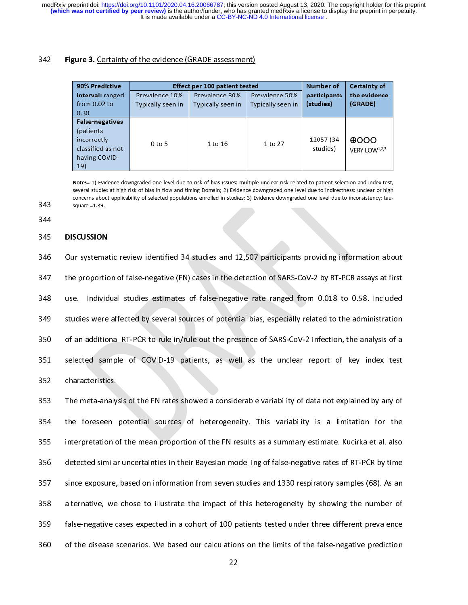# $\overline{a}$

| 90% Predictive         |                   | <b>Effect per 100 patient tested</b> |                   | Number of             | <b>Certainty of</b>       |
|------------------------|-------------------|--------------------------------------|-------------------|-----------------------|---------------------------|
| interval: ranged       | Prevalence 10%    | Prevalence 30%                       | Prevalence 50%    | participants          | the evidence              |
| from $0.02$ to         | Typically seen in | Typically seen in                    | Typically seen in | (studies)             | (GRADE)                   |
| 0.30                   |                   |                                      |                   |                       |                           |
| <b>False-negatives</b> |                   |                                      |                   |                       |                           |
| (patients)             |                   |                                      |                   |                       |                           |
| incorrectly            | $0$ to 5          | 1 to 16                              |                   | 12057 (34<br>studies) | $\theta$ OOO              |
| classified as not      |                   |                                      | 1 to 27           |                       | VERY LOW <sup>1,2,3</sup> |
| having COVID-          |                   |                                      |                   |                       |                           |
| 19)                    |                   |                                      |                   |                       |                           |

Notes= 1) Evidence downgraded one level due to risk of bias issues: multiple unclear risk related to patient selection and index test, several studies at high risk of bias in flow and timing Domain; 2) Evidence downgraded one level due to indirectness: unclear or high concerns about applicability of selected populations enrolled in studies; 3) Evidence downgraded one level due to inconsistency: tausquare  $=1.39$ .

344

343

343 ----<br>345<br>346<br>347 345 **DISCUSSION**<br>346 Our systemat<br>347 the proportic<br>348 use. Individ 347 the proportion of false-negative (FN) cases in the detection of SARS-CoV-2 by RT-PCR assays at first<br>348 use. Individual studies estimates of false-negative rate ranged from 0.018 to 0.58. Included<br>349 studies were aff 348 use. Individual studies estimates of false-negative rate ranged from 0.018 to 0.58. Included<br>349 studies were affected by several sources of potential bias, especially related to the administration<br>350 of an additional 349 studies were affected by several sources of potential bias, especially related to the administration<br>350 of an additional RT-PCR to rule in/rule out the presence of SARS-CoV-2 infection, the analysis of a<br>351 selected 350 of an additional RT-PCR to rule in/rule out the presence of SARS-CoV-2 infection, the analysis of a<br>351 selected sample of COVID-19 patients, as well as the unclear report of key index test<br>352 characteristics. 351 selected sample of COVID-19 patients, as well as the unclear report of key index test<br>352 characteristics.<br>353 The meta-analysis of the FN rates showed a considerable variability of data not explained by any of

2352 characteristics.<br>353 The meta-analysis of the FN rates showed a considerable variability of data not explained by any of<br>354 the foreseen potential sources of heterogeneity. This variability is a limitation for the 353 The meta-analy<br>353 The meta-analy<br>354 the foreseen<br>355 interpretation c 353 The meta-analysis of the FN rates showed a considerable variability of data not explained by any of<br>354 the foreseen potential sources of heterogeneity. This variability is a limitation for the<br>355 interpretation of th 355 interpretation of the mean proportion of the FN results as a summary estimate. Kucirka et al. also<br>356 detected similar uncertainties in their Bayesian modelling of false-negative rates of RT-PCR by time<br>357 since expo 356 detected similar uncertainties in their Bayesian modelling of false-negative rates of RT-PCR by time<br>357 since exposure, based on information from seven studies and 1330 respiratory samples (68). As an<br>358 alternative, 357 since exposure, based on information from seven studies and 1330 respiratory samples (68). As an<br>358 alternative, we chose to illustrate the impact of this heterogeneity by showing the number of<br>359 false-negative case 358 alternative, we chose to illustrate the impact of this heterogeneity by showing the number of false-negative cases expected in a cohort of 100 patients tested under three different prevalence of the disease scenarios. 359 false-negative cases expected in a cohort of 100 patients tested under three different prevalence<br>360 of the disease scenarios. We based our calculations on the limits of the false-negative prediction<br>22 360 of the disease scenarios. We based our calculations on the limits of the false-negative prediction<br>22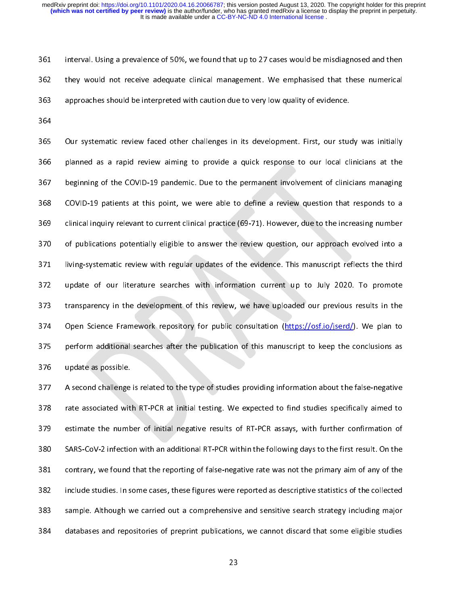i<br>i 361 interval. Using a prevalence of 50%, we found that up to 27 cases would be misdiagnosed and then<br>362 they would not receive adequate clinical management. We emphasised that these numerical<br>363 approaches should be inte 363 approaches should be interpreted with caution due to very low quality of evidence.<br>364<br>365 Our systematic review faced other challenges in its development. First, our study was initially

364<br>365 Our systematic review faced other challenges in its development. First, our studence.<br>366 planned as a rapid review aiming to provide a quick response to our local cl ---<br>365<br>366<br>367 365 Our systematic review faced other challenges in its development. First, our study was initially<br>366 planned as a rapid review aiming to provide a quick response to our local clinicians at the<br>367 beginning of the COVID 367 beginning of the COVID-19 pandemic. Due to the permanent involvement of clinicians managing<br>368 COVID-19 patients at this point, we were able to define a review question that responds to a<br>369 clinical inquiry relevant 368 COVID-19 patients at this point, we were able to define a review question that responds to a clinical inquiry relevant to current clinical practice (69-71). However, due to the increasing number of publications potenti clinical inquiry relevant to current clinical practice (69-71). However, due to the increasing number<br>370 of publications potentially eligible to answer the review question, our approach evolved into a<br>371 living-systemati 372 update of our literature searches with information current up to July 2020. To promote 371 living-systematic review with regular updates of the evidence. This manuscript reflects the third<br>372 update of our literature searches with information current up to July 2020. To promote<br>373 transparency in the devel update of our literature searches with information current up to July 2020. To promote<br>373 transparency in the development of this review, we have uploaded our previous results in the<br>374 Open Science Framework repository 373 transparency in the development of this review, we have uploaded our previous results in the<br>374 Open Science Framework repository for public consultation (https://osf.io/jserd/). We plan to<br>375 perform additional sear 373 transparency in the development of this review, we have uploaded our previous results in the<br>374 Open Science Framework repository for public consultation (https://osf.io/jserd/). We plan to<br>375 perform additional sear 375 perform additional searches after the publication of this manuscript to keep the conclusions as<br>376 update as possible.<br>377 A second challenge is related to the type of studies providing information about the false-neg

1376 update as possible.<br>377 A second challenge is related to the type of studies providing information about the false-negative<br>378 rate associated with RT-PCR at initial testing. We expected to find studies specifically 377 A second challenge<br>378 rate associated wit<br>379 estimate the numb 378 rate associated with RT-PCR at initial testing. We expected to find studies specifically aimed to<br>379 estimate the number of initial negative results of RT-PCR assays, with further confirmation of<br>380 SARS-CoV-2 infect 379 estimate the number of initial negative results of RT-PCR assays, with further confirmation of<br>380 SARS-CoV-2 infection with an additional RT-PCR within the following days to the first result. On the<br>381 contrary, we f 380 SARS-CoV-2 infection with an additional RT-PCR within the following days to the first result. On the<br>381 contrary, we found that the reporting of false-negative rate was not the primary aim of any of the<br>382 include st 381 contrary, we found that the reporting of false-negative rate was not the primary aim of any of the<br>382 include studies. In some cases, these figures were reported as descriptive statistics of the collected<br>383 sample. 382 include studies. In some cases, these figures were reported as descriptive statistics of the collected<br>383 sample. Although we carried out a comprehensive and sensitive search strategy including major<br>384 databases and stample. Although we carried out a comprehensive and sensitive search strategy including major<br>384 databases and repositories of preprint publications, we cannot discard that some eligible studies<br>23 384 databases and repositories of preprint publications, we cannot discard that some eligible studies<br>23  $33$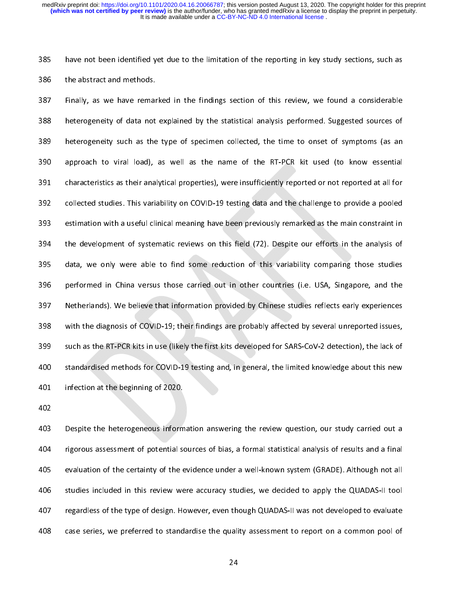|<br>|<br>|

285 have not been identified yet due to the limitation of the reporting in key study sections, such as<br>386 the abstract and methods.<br>387 Finally, as we have remarked in the findings section of this review, we found a consi 387 Finally, as we have remar<br>388 heterogeneity of data not<br>389 heterogeneity such as the 388 heterogeneity of data not explained by the statistical analysis performed. Suggested sources of<br>389 heterogeneity such as the type of specimen collected, the time to onset of symptoms (as an<br>390 approach to viral load) 389 heterogeneity such as the type of specimen collected, the time to onset of symptoms (as an approach to viral load), as well as the name of the RT-PCR kit used (to know essential characteristics as their analytical prop 390 approach to viral load), as well as the name of the RT-PCR kit used (to know essential<br>391 characteristics as their analytical properties), were insufficiently reported or not reported at all for<br>392 collected studies. 291 characteristics as their analytical properties), were insufficiently reported or not reported at all for<br>292 collected studies. This variability on COVID-19 testing data and the challenge to provide a pooled<br>293 estima 392 collected studies. This variability on COVID-19 testing data and the challenge to provide a pooled<br>393 estimation with a useful clinical meaning have been previously remarked as the main constraint in<br>394 the developme 393 estimation with a useful clinical meaning have been previously remarked as the main constraint in<br>394 the development of systematic reviews on this field (72). Despite our efforts in the analysis of<br>395 data, we only w 394 the development of systematic reviews on this field (72). Despite our efforts in the analysis of data, we only were able to find some reduction of this variability comparing those studies performed in China versus thos 395 data, we only were able to find some reduction of this variability comparing those studies<br>396 performed in China versus those carried out in other countries (i.e. USA, Singapore, and the<br>397 Netherlands). We believe t 396 performed in China versus those carried out in other countries (i.e. USA, Singapore, and the<br>397 Netherlands). We believe that information provided by Chinese studies reflects early experiences<br>398 with the diagnosis o 397 Netherlands). We believe that information provided by Chinese studies reflects early experiences<br>398 with the diagnosis of COVID-19; their findings are probably affected by several unreported issues,<br>399 such as the RT 398 with the diagnosis of COVID-19; their findings are probably affected by several unreported issues,<br>399 such as the RT-PCR kits in use (likely the first kits developed for SARS-CoV-2 detection), the lack of<br>300 standard 399 such as the RT-PCR kits in use (likely the first kits developed for SARS-CoV-2 detection), the lack of standardised methods for COVID-19 testing and, in general, the limited knowledge about this new infection at the be 399 such as the RT-PCR kits in use (likely the first kits developed for SARS-CoV-2 detection), the lack of<br>400 standardised methods for COVID-19 testing and, in general, the limited knowledge about this new<br>401 infection a

403 Despite the heterogeneous information answering the review question, our study carried out a 402<br>403 Despite the heterogeneous inform<br>404 rigorous assessment of potential so 403<br>404<br>405 rigorous assessment of potential sources of bias, a formal statistical analysis of results and a final<br>405 evaluation of the certainty of the evidence under a well-known system (GRADE). Although not all<br>406 studies include 405 evaluation of the certainty of the evidence under a well-known system (GRADE). Although not all<br>406 studies included in this review were accuracy studies, we decided to apply the QUADAS-II tool<br>407 regardless of the ty 406 studies included in this review were accuracy studies, we decided to apply the QUADAS-II tool<br>407 regardless of the type of design. However, even though QUADAS-II was not developed to evaluate<br>408 case series, we prefe regardless of the type of design. However, even though QUADAS-II was not developed to evaluate<br>accuracy studies and apply the Multiple Studies, we preferred to standardise the quality assessment to report on a common pool 408 case series, we preferred to standardise the quality assessment to report on a common pool of 24  $^{24}$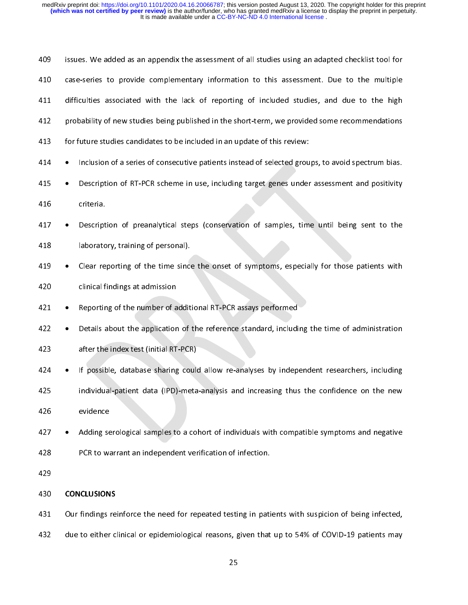| 409 |           | issues. We added as an appendix the assessment of all studies using an adapted checklist tool for  |
|-----|-----------|----------------------------------------------------------------------------------------------------|
| 410 |           | case-series to provide complementary information to this assessment. Due to the multiple           |
| 411 |           | difficulties associated with the lack of reporting of included studies, and due to the high        |
| 412 |           | probability of new studies being published in the short-term, we provided some recommendations     |
| 413 |           | for future studies candidates to be included in an update of this review:                          |
| 414 | $\bullet$ | Inclusion of a series of consecutive patients instead of selected groups, to avoid spectrum bias.  |
| 415 |           | Description of RT-PCR scheme in use, including target genes under assessment and positivity        |
| 416 |           | criteria.                                                                                          |
| 417 |           | Description of preanalytical steps (conservation of samples, time until being sent to the          |
| 418 |           | laboratory, training of personal).                                                                 |
| 419 |           | Clear reporting of the time since the onset of symptoms, especially for those patients with        |
| 420 |           | clinical findings at admission                                                                     |
| 421 |           | Reporting of the number of additional RT-PCR assays performed                                      |
| 422 |           | Details about the application of the reference standard, including the time of administration      |
| 423 |           | after the index test (initial RT-PCR)                                                              |
| 424 |           | If possible, database sharing could allow re-analyses by independent researchers, including        |
| 425 |           | individual-patient data (IPD)-meta-analysis and increasing thus the confidence on the new          |
| 426 |           | evidence                                                                                           |
| 427 |           | Adding serological samples to a cohort of individuals with compatible symptoms and negative        |
| 428 |           | PCR to warrant an independent verification of infection.                                           |
| 429 |           |                                                                                                    |
| 430 |           | <b>CONCLUSIONS</b>                                                                                 |
| 431 |           | Our findings reinforce the need for repeated testing in patients with suspicion of being infected, |
| 432 |           | due to either clinical or epidemiological reasons, given that up to 54% of COVID-19 patients may   |
|     |           | 25                                                                                                 |
|     |           |                                                                                                    |
|     |           |                                                                                                    |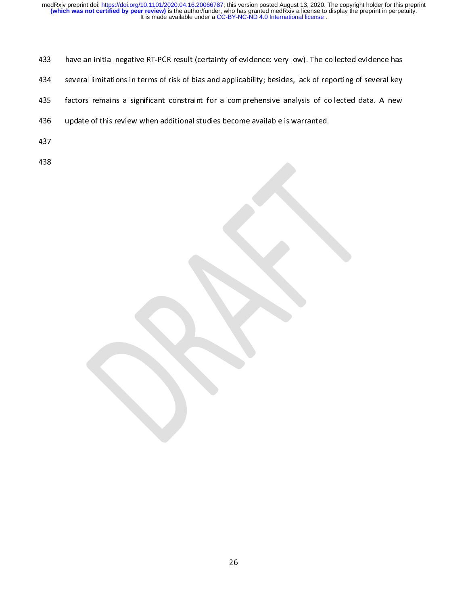- 
- 
- l<br>f 433 have an initial negative RT-PCR result (certainty of evidence: very low). The collected evidence has<br>434 several limitations in terms of risk of bias and applicability; besides, lack of reporting of several key<br>435 fac factors remains a significant constraint for a comprehensive analysis of collected data. A new<br>436 update of this review when additional studies become available is warranted.<br>437
- 436 update of this review when additional studies become available is warranted.<br>437<br>438 437<br>438<br>
- 
- 438<br>|<br>|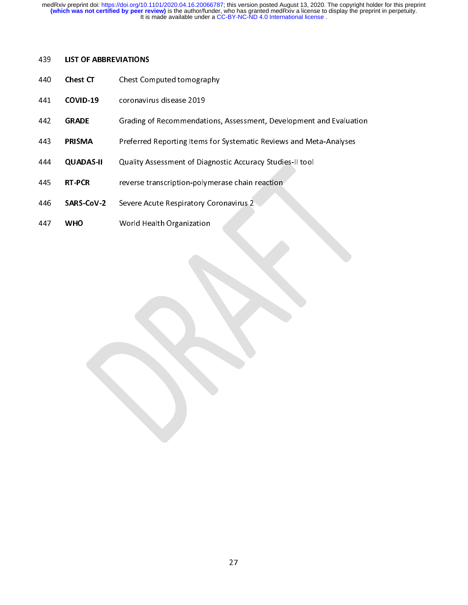- 
- |<br>|<br>| 439 LIST OF ABBREVIATIONS<br>440 Chest CT Chest Cor<br>441 COVID-19 coronavir<br>442 GRADE Grading o
- 2440 Chest Chest Computed tomography<br>441 COVID-19 coronavirus disease 2019<br>442 GRADE Grading of Recommendations,<br>2443 PRISMA Preferred Reporting Items for
- FRISMA PRESSITE Grading of Recommendations, Assessment, Development and Evaluation<br> **PRISMA** Preferred Reporting Items for Systematic Reviews and Meta-Analyses<br> **QUADAS-II** Quality Assessment of Diagnostic Accuracy Studies
- 441 COVID-19 coronavirus disease 2019<br>442 **GRADE** Grading of Recommendat<br>443 **PRISMA** Preferred Reporting Items<br>444 **QUADAS-II** Quality Assessment of Dia THISMA Preferred Reporting Tems for Systematic Reviews and Meta-Analyses<br> **QUADAS-II** Quality Assessment of Diagnostic Accuracy Studies-II tool<br> **RT-PCR** reverse transcription-polymerase chain reaction<br> **SARS-CoV-2** Severe
- 444 **RT-PCR** reverse transcription-polymerase chain reaction<br>446 **SARS-CoV-2** Severe Acute Respiratory Coronavirus 2<br>447 **WHO** World Health Organization
- 1445 RT-PCR reverse transcription-polymerase chain reaction<br>446 SARS-CoV-2 Severe Acute Respiratory Coronavirus 2<br>447 WHO World Health Organization
- 447 WHO World Health Organization 447 WHO World Health Organization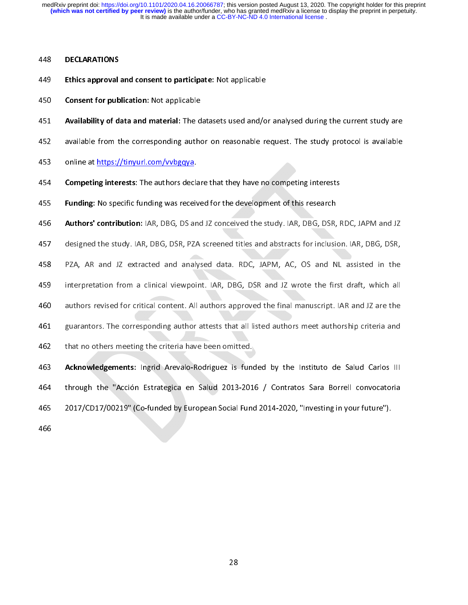- |<br>|<br>| 448 **DECENTRATIONS**<br>449 **Ethics approval**<br>450 **Consent for pub**<br>451 **Availability of d**
- 
- Ethics approval and consent to participate: Not applicable<br>450 **Consent for publication:** Not applicable<br>451 **Availability of data and material:** The datasets used and/o<br>452 available from the corresponding author on reaso 450 Consent for publication: Not applicable<br>451 Availability of data and material: The d<br>452 available from the corresponding author<br>453 online at https://tinyurl.com/vvbgqya.
- 451 Availability of data and material: The datasets used and/or analysed during the current study are<br>available from the corresponding author on reasonable request. The study protocol is available<br>online at https://tinyurl
- 
- online at <u>https://tinyurl.com/vvbgqya.</u><br>454 **Competing interests**: The authors declare that they have no competing interests<br>455 **Funding:** No specific funding was received for the development of this research 454 **Competing interests**: The authors deck<br>455 **Funding:** No specific funding was received<br>456 **Authors' contribution:** IAR, DBG, DS and
- 

454 Competing interests: The authors declare that they have no competing interests<br>455 **Funding:** No specific funding was received for the development of this research<br>456 **Authors' contribution:** IAR, DBG, DS and JZ conce **Funding:** No specific funding was received for the development of this research<br> **Authors' contribution:** IAR, DBG, DS and JZ conceived the study. IAR, DBG, DSR, RDC, JAPM and JZ<br>
designed the study. IAR, DBG, DSR, PZA sc

Authors' contribution: IAR, DBG, DS and JZ conceived the study. IAR, DBG, DSR, RDC, JAPM and JZ<br>457 designed the study. IAR, DBG, DSR, PZA screened titles and abstracts for inclusion. IAR, DBG, DSR,<br>458 PZA, AR and JZ extr 458 PZA, AR and JZ extracted and analysed data. RDC, JAPM, AC, OS and NL assisted in the<br>459 interpretation from a clinical viewpoint. IAR, DBG, DSR and JZ wrote the first draft, which all<br>460 authors revised for critical

interpretation from a clinical viewpoint. IAR, DBG, DSR and JZ wrote the first draft, which all<br>460 authors revised for critical content. All authors approved the final manuscript. IAR and JZ are the<br>461 guarantors. The co a continuous and a content of a content and a clinical viewpoint. All authors approved the final manuscript. IAR and JZ are the guarantors. The corresponding author attests that all listed authors meet authorship criteria authors revised for critical content. All authors approved the final manuscript. IAR and JZ are the<br>
461 guarantors. The corresponding author attests that all listed authors meet authorship criteria and<br>
462 that no others

462 that no others meeting the criteria have been omitted.<br>463 **Acknowledgements:** Ingrid Arevalo-Rodriguez is funded by the Instituto de Salud Carlos III<br>464 through the "Acción Estrategica en Salud 2013-2016 / Contratos **463 Acknowledgements:** Ingrid Arevalo-Rodriguez is fund<br>464 through the "Acción Estrategica en Salud 2013-201<br>465 2017/CD17/00219" (Co-funded by European Social Fund 463 Acknowledgements: Ingrid Arevalo-Rodriguez is funded by the Instituto de Salud Carlos III<br>464 through the "Acción Estrategica en Salud 2013-2016 / Contratos Sara Borrell convocatoria<br>465 2017/CD17/00219" (Co-funded by 1446 through the "Accidom Estrategica" en Salud 2014-2020, "Entrated Call 2014-2016" (Co-funded by European Social Fund 2014-2020, "Investing in your future").<br>466 465 2017/CD17/00219" (Co-funded by European Social Fund 2014-2020, "Investing in your future").

28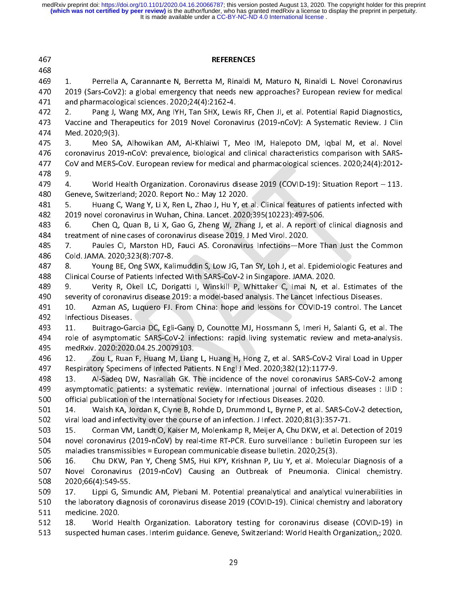| 467        | <b>REFERENCES</b>                                                                                                                   |
|------------|-------------------------------------------------------------------------------------------------------------------------------------|
| 468        |                                                                                                                                     |
| 469        | Perrella A, Carannante N, Berretta M, Rinaldi M, Maturo N, Rinaldi L. Novel Coronavirus<br>1.                                       |
| 470        | 2019 (Sars-CoV2): a global emergency that needs new approaches? European review for medical                                         |
| 471        | and pharmacological sciences. 2020;24(4):2162-4.                                                                                    |
| 472        | Pang J, Wang MX, Ang IYH, Tan SHX, Lewis RF, Chen JI, et al. Potential Rapid Diagnostics,<br>$2 -$                                  |
| 473        | Vaccine and Therapeutics for 2019 Novel Coronavirus (2019-nCoV): A Systematic Review. J Clin                                        |
| 474        | Med. 2020;9(3).                                                                                                                     |
| 475        | Meo SA, Alhowikan AM, Al-Khlaiwi T, Meo IM, Halepoto DM, Iqbal M, et al. Novel<br>3.                                                |
| 476        | coronavirus 2019-nCoV: prevalence, biological and clinical characteristics comparison with SARS-                                    |
| 477        | CoV and MERS-CoV. European review for medical and pharmacological sciences. 2020;24(4):2012-                                        |
| 478        | 9.                                                                                                                                  |
| 479        | World Health Organization. Coronavirus disease 2019 (COVID-19): Situation Report - 113.<br>4.                                       |
| 480        | Geneve, Switzerland; 2020. Report No.: May 12 2020.                                                                                 |
| 481        | Huang C, Wang Y, Li X, Ren L, Zhao J, Hu Y, et al. Clinical features of patients infected with<br>5.                                |
| 482        | 2019 novel coronavirus in Wuhan, China. Lancet. 2020;395(10223):497-506.                                                            |
| 483        | Chen Q, Quan B, Li X, Gao G, Zheng W, Zhang J, et al. A report of clinical diagnosis and<br>6.                                      |
| 484        | treatment of nine cases of coronavirus disease 2019. J Med Virol. 2020.                                                             |
| 485        | Paules CI, Marston HD, Fauci AS. Coronavirus Infections-More Than Just the Common<br>7.                                             |
| 486        | Cold. JAMA. 2020;323(8):707-8.                                                                                                      |
| 487        | Young BE, Ong SWX, Kalimuddin S, Low JG, Tan SY, Loh J, et al. Epidemiologic Features and<br>8.                                     |
| 488        | Clinical Course of Patients Infected With SARS-CoV-2 in Singapore. JAMA. 2020.                                                      |
| 489        | Verity R, Okell LC, Dorigatti I, Winskill P, Whittaker C, Imai N, et al. Estimates of the<br>9.                                     |
| 490        | severity of coronavirus disease 2019: a model-based analysis. The Lancet Infectious Diseases.                                       |
| 491        | Azman AS, Luquero FJ. From China: hope and lessons for COVID-19 control. The Lancet<br>10.                                          |
| 492        | Infectious Diseases.                                                                                                                |
| 493        | 11.<br>Buitrago-Garcia DC, Egli-Gany D, Counotte MJ, Hossmann S, Imeri H, Salanti G, et al. The                                     |
| 494        | role of asymptomatic SARS-CoV-2 infections: rapid living systematic review and meta-analysis.<br>medRxiv. 2020.2020.04.25.20079103. |
| 495<br>496 | Zou L, Ruan F, Huang M, Liang L, Huang H, Hong Z, et al. SARS-CoV-2 Viral Load in Upper<br>12.                                      |
| 497        | Respiratory Specimens of Infected Patients. N Engl J Med. 2020;382(12):1177-9.                                                      |
| 498        | 13. Al-Sadeq DW, Nasrallah GK. The incidence of the novel coronavirus SARS-CoV-2 among                                              |
| 499        | asymptomatic patients: a systematic review. International journal of infectious diseases : IJID :                                   |
| 500        | official publication of the International Society for Infectious Diseases. 2020.                                                    |
| 501        | Walsh KA, Jordan K, Clyne B, Rohde D, Drummond L, Byrne P, et al. SARS-CoV-2 detection,<br>14.                                      |
| 502        | viral load and infectivity over the course of an infection. J Infect. 2020;81(3):357-71.                                            |
| 503        | Corman VM, Landt O, Kaiser M, Molenkamp R, Meijer A, Chu DKW, et al. Detection of 2019<br>15.                                       |
| 504        | novel coronavirus (2019-nCoV) by real-time RT-PCR. Euro surveillance : bulletin Europeen sur les                                    |
| 505        | maladies transmissibles = European communicable disease bulletin. 2020;25(3).                                                       |
| 506        | Chu DKW, Pan Y, Cheng SMS, Hui KPY, Krishnan P, Liu Y, et al. Molecular Diagnosis of a<br>16.                                       |
| 507        | Novel Coronavirus (2019-nCoV) Causing an Outbreak of Pneumonia. Clinical chemistry.                                                 |
| 508        | 2020;66(4):549-55.                                                                                                                  |
| 509        | Lippi G, Simundic AM, Plebani M. Potential preanalytical and analytical vulnerabilities in<br>17 <sub>1</sub>                       |
| 510        | the laboratory diagnosis of coronavirus disease 2019 (COVID-19). Clinical chemistry and laboratory                                  |
| 511        | medicine. 2020.                                                                                                                     |
| 512        | World Health Organization. Laboratory testing for coronavirus disease (COVID-19) in<br>18.                                          |
| 513        | suspected human cases. Interim guidance. Geneve, Switzerland: World Health Organization,; 2020.                                     |
|            |                                                                                                                                     |
|            | 29                                                                                                                                  |
|            |                                                                                                                                     |
|            |                                                                                                                                     |
|            |                                                                                                                                     |
|            |                                                                                                                                     |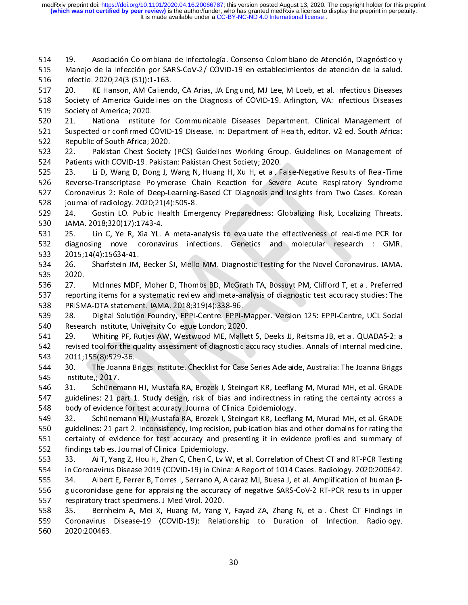$\frac{1}{2}$   $\frac{1}{2}$   $\frac{1}{2}$   $\frac{1}{2}$   $\frac{1}{2}$   $\frac{1}{2}$   $\frac{1}{2}$   $\frac{1}{2}$   $\frac{1}{2}$   $\frac{1}{2}$   $\frac{1}{2}$   $\frac{1}{2}$   $\frac{1}{2}$   $\frac{1}{2}$   $\frac{1}{2}$   $\frac{1}{2}$   $\frac{1}{2}$   $\frac{1}{2}$   $\frac{1}{2}$   $\frac{1}{2}$   $\frac{1}{2}$   $\frac{1}{2}$ 

Manejo de la Infección por SARS-CoV-2/COVID-19 en establecimientos de atención de la salud.<br>
516 Infectio. 2020;24(3 (S1)):1-163.<br>
517 20. KE Hanson, AM Caliendo, CA Arias, JA Englund, MJ Lee, M Loeb, et al. Infectious Dis

Infectio. 2020;24(3 (S1)):1-163.<br>
517 20. KE Hanson, AM Caliendo, CA Arias, JA Englund, MJ Lee, M Loeb, et al. Infectious Diseases<br>
518 Society of America Guidelines on the Diagnosis of COVID-19. Arlington, VA: Infectious 517 20. KE Hanson, AM Caliend<br>518 Society of America Guidelines<br>519 Society of America; 2020.<br>520 21. National Institute for<br>521 Suspected or confirmed COVID-<br>522 Republic of South Africa; 2020.<br>523 22. Pakistan Chest Soci Society of America Guidelines on the Diagnosis of COVID-19. Arlington, VA: Infectious Diseases<br>
Society of America; 2020.<br>
520 21. National Institute for Communicable Diseases Department. Clinical Management of<br>
521 Suspec Society of America; 2020.<br>
519 Society of America; 2020.<br>
520 21. National Institute for Communicable Diseases Department. Clinical Management of<br>
521 Suspected or confirmed COVID-19 Disease. In: Department of Health, edit Face Patter, National Institute<br>521 Suspected or confirmed C<br>522 Republic of South Africa; 2<br>523 22. Pakistan Chest Society<br>524 Patients with COVID-19. P<br>525 23. Li D, Wang D, Doi<br>526 Reverse-Transcriptase Po

Sall Suspected or confirmed COVID-19 Disease. In: Department of Health, editor. V2 ed. South Africa:<br>
Sall Suspected or confirmed COVID-19 Disease. In: Department of Health, editor. V2 ed. South Africa:<br>
Sall 22. Pakistan 522 Republic of South Africa; 2020.<br>523 22. Pakistan Chest Society (PCS) Guidelines Working Group. Guidelines on Management of<br>524 Patients with COVID-19. Pakistan: Pakistan Chest Society; 2020.<br>525 23. Li D, Wang D, Dong 523 22. Pakistan Chest Society<br>524 Patients with COVID-19. Pakista<br>525 23. Li D, Wang D, Dong J, N<br>526 Reverse-Transcriptase Polyme<br>527 Coronavirus 2: Role of Deep-L<br>528 journal of radiology. 2020;21(4)<br>529 24. Gostin LO. Patients with COVID-19. Pakistan: Pakistan Chest Society; 2020.<br>525 23. Li D, Wang D, Dong J, Wang N, Huang H, Xu H, et al. False-Negative Results of Real-Time<br>526 Reverse-Transcriptase Polymerase Chain Reaction for Severe 23. Li D, Wang D, Dong J, Wang N, Huang H, Xu H, et al. F<br>526 Reverse-Transcriptase Polymerase Chain Reaction for Seve<br>27 Coronavirus 2: Role of Deep-Learning-Based CT Diagnosis and<br>28 journal of radiology. 2020; 21(4): 50 525 23. Li D, Wang D, Dong J, Wang N, Huang H, Xu H, et al. False-Negative Results of Real-Time

527 Coronavirus 2: Role of Deep-Learning-Based CT Diagnosis and Insights from Two Cases. Korean<br>528 journal of radiology. 2020;21(4):505-8.<br>529 24. Gostin LO. Public Health Emergency Preparedness: Globalizing Risk, Localiz 528 journal of radiology. 2020;21(4):505-8.<br>529 24. Gostin LO. Public Health Emergency Preparedness: Globalizing Risk, Localizing Threats.<br>530 JAMA. 2018;320(17):1743-4.<br>531 25. Lin C, Ye R, Xia YL. A meta-analysis to eval 529 24. Gostin LO. Public Health Eme<br>530 JAMA. 2018;320(17):1743-4.<br>531 25. Lin C, Ye R, Xia YL. A meta-ar<br>532 diagnosing novel coronavirus infe<br>533 2015;14(4):15634-41.<br>534 26. Sharfstein JM, Becker SJ, Mello<br>535 2020. JAMA. 2018;320(17):1743-4.<br>531 25. Lin C, Ye R, Xia YL. A meta-analysis to evaluate the effectiveness of real-time PCR for<br>532 diagnosing novel coronavirus infections. Genetics and molecular research : GMR.<br>533 2015;14(4): 531 25. Lin C, Ye R, Xia YL.<br>532 diagnosing novel coronav<br>533 2015;14(4):15634-41.<br>534 26. Sharfstein JM, Becke<br>535 2020.<br>536 27. McInnes MDF, Mohe<br>637 reporting items for a systema

diagnosing novel coronavirus infections. Genetics and molecular research : GMR.<br>533 2015;14(4):15634-41.<br>534 26. Sharfstein JM, Becker SJ, Mello MM. Diagnostic Testing for the Novel Coronavirus. JAMA.<br>535 27. McInnes MDF, 2015;14(4):15634-41.<br>534 26. Sharfstein JM, Becker SJ, Mello MM. Diagnostic Testing for the Novel Coronavirus. JAMA.<br>535 2020.<br>736 27. McInnes MDF, Moher D, Thombs BD, McGrath TA, Bossuyt PM, Clifford T, et al. Preferred<br>7 534 26. Sharfstein JM,<br>535 2020.<br>536 27. McInnes MDF,<br>537 reporting items for a s<br>538 PRISMA-DTA statemer<br>539 28. Digital Solutio<br>540 Research Institute, Un 2020.<br>536 27. McInnes MDF, Moher D, Thombs BD, McGrath TA, Bossuyt PM, Clifford T, et al. Preferred<br>537 reporting items for a systematic review and meta-analysis of diagnostic test accuracy studies: The<br>28. Digital Solutio 535 2020.

Face 2011;155(8):529-36.<br>
Face 2011;155(8):529-36.<br>
2011;155(8):529-36.<br>
2011;155(8):529-36.<br>
2011;155(8):529-36. PRISMA-DTA statement. JAMA. 2018;319(4):338-96.<br>
539 28. Digital Solution Foundry, EPPI-Centre. EPPI-Mapper. Version 125: EPPI-Centre, UCL Social<br>
Research Institute, University Collegue London; 2020.<br>
541 29. Whiting PF, 28. Digital Solution Foundry, EPPI-Centre. EPPI-1<br>540 Research Institute, University Collegue London; 2020<br>541 29. Whiting PF, Rutjes AW, Westwood ME, Mall<br>542 revised tool for the quality assessment of diagnostic<br>543 2011 Research Institute, University Collegue London; 2020.<br>
541 29. Whiting PF, Rutjes AW, Westwood ME, Mallett S, Deeks JJ, Reitsma JB, et al. QUADAS-2: a<br>
542 revised tool for the quality assessment of diagnostic accuracy stu 541 29. Whiting PF, Rutjes AW, Westwood ME, Mallet<br>542 revised tool for the quality assessment of diagnostic a<br>543 2011;155(8):529-36.<br>544 30. The Joanna Briggs Institute. Checklist for Case<br>545 Institute,; 2017.<br>546 31. S

Face Transfer of diagnostic accuracy studies. Annals of internal medicine.<br>
542 revised tool for the quality assessment of diagnostic accuracy studies. Annals of internal medicine.<br>
543 2011;155(8):529-36.<br>
544 30. The Joa 2011;155(8):529-36.<br>
544 30. The Joanna Briggs Institute. Checklist for Case Series Adelaide, Australia: The Joanna Briggs<br>
1545 Institute,; 2017.<br>
546 31. Schünemann HJ, Mustafa RA, Brozek J, Steingart KR, Leeflang M, Mur 544 30. The Joanna B<br>545 Institute,; 2017.<br>546 31. Schünemann<br>547 guidelines: 21 part 1<br>548 body of evidence for<br>549 32. Schünemann<br>550 guidelines: 21 part 2.

11. Schünemann HJ, Mustafa RA, Brozek J, Steingart KR, Leeflang M, Murad MH, et al. GRADE<br>
546 31. Schünemann HJ, Mustafa RA, Brozek J, Steingart KR, Leeflang M, Murad MH, et al. GRADE<br>
547 guidelines: 21 part 1. Study des 546 31. Schünen<br>547 guidelines: 21 p<br>548 body of evidence<br>549 32. Schünen<br>550 guidelines: 21 pa<br>551 certainty of evidence guidelines: 21 part 1. Study design, risk of bias and indirectness in rating the certainty across a<br>548 body of evidence for test accuracy. Journal of Clinical Epidemiology.<br>549 32. Schünemann HJ, Mustafa RA, Brozek J, Ste body of evidence for test accuracy. Journal of Clinical Epidemiology.<br>
549 32. Schünemann HJ, Mustafa RA, Brozek J, Steingart KR, Leeflang M, Murad MH, et al. GRADE<br>
550 guidelines: 21 part 2. Inconsistency, Imprecision, p 549 32. Schünemann HJ, Mustafa RA, Brozek J, Steingart KR, Leeflan guidelines: 21 part 2. Inconsistency, Imprecision, publication bias an certainty of evidence for test accuracy and presenting it in evide findings tables. guidelines: 21 part 2. Inconsistency, Imprecision, publication bias and other domains for rating the<br>551 certainty of evidence for test accuracy and presenting it in evidence profiles and summary of<br>552 findings tables. Jo

For the particular process of the correct of the accuracy and presenting it in evidence profiles and summary of<br>552 findings tables. Journal of Clinical Epidemiology.<br>553 33. Ai T, Yang Z, Hou H, Zhan C, Chen C, Lv W, et findings tables. Journal of Clinical Epidemiology.<br>
552 findings tables. Journal of Clinical Epidemiology.<br>
553 33. Ai T, Yang Z, Hou H, Zhan C, Chen C, Lv W, et al. Correlation of Chest CT and RT-PCR Testing<br>
554 in Coron 33. Ai T, Yang Z, Hou H, Zhan C, Chen C, Lv W<br>554 in Coronavirus Disease 2019 (COVID-19) in China<br>555 34. Albert E, Ferrer B, Torres I, Serrano A, Al<br>556 glucoronidase gene for appraising the accuracy<br>557 respiratory tract

in Coronavirus Disease 2019 (COVID-19) in China: A Report of 1014 Cases. Radiology. 2020:200642.<br>
555 34. Albert E, Ferrer B, Torres I, Serrano A, Alcaraz MJ, Buesa J, et al. Amplification of human β-<br>
556 glucoronidase ge 34. Albert E, Ferrer B, Torres I, Serrano A, Alcaraz MJ, Buesa J, et al. Amplification of human β-<br>556 glucoronidase gene for appraising the accuracy of negative SARS-CoV-2 RT-PCR results in upper<br>557 respiratory tract sp Figure 19 Glucoronical State Glucoronical State Glucoronic Coverage and State Glucoronic Coverage and SARS-Coverage generations of the accuracy Coronavirus Disease-19 (COVID-19): Relationship to Duration of Infection. Radi 558 35. Bernheim A, Mei X, Huang M, Yang \,<br>559 Coronavirus Disease-19 (COVID-19): Relat<br>560 2020.200463. 559 Coronavirus Disease-19 (COVID-19): Relationship to Duration of Infection. Radiology.<br>560 2020:200463.<br>30 560 2020:200463.<br>30<br> $30$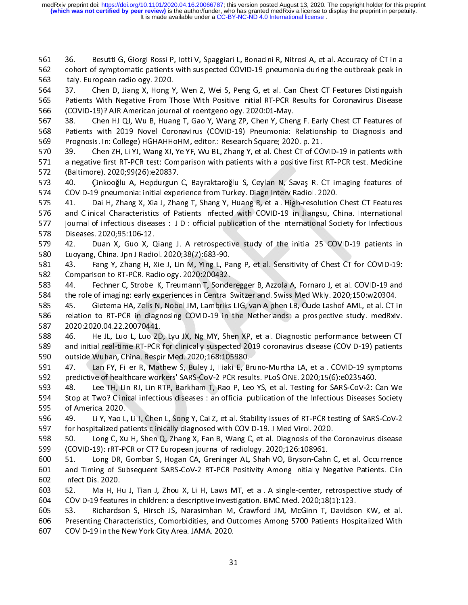ミ ハーミー

cohort of symptomatic patients with suspected COVID-19 pneumonia during the outbreak peak in<br>
1662 Cohort of symptomatic patients with suspected COVID-19 pneumonia during the outbreak peak in<br>
1664 37. Chen D, Jiang X, Hon

1563 Italy. European radiology. 2020.<br>
564 37. Chen D, Jiang X, Hong Y, Wen Z, Wei S, Peng G, et al. Can Chest CT Features Distinguish<br>
565 Patients With Negative From Those With Positive Initial RT-PCR Results for Coronav 564 37. Chen D, Jiang X, Hong Y<br>565 Patients With Negative From TH<br>566 (COVID-19)? AJR American journ<br>567 38. Chen HJ QJ, Wu B, Huan<br>568 Patients with 2019 Novel Corc<br>569 Prognosis. In: College) HGHAHHc<br>570 39. Chen ZH, Li Patients With Negative From Those With Positive Initial RT-PCR Results for Coronavirus Disease<br>
566 (COVID-19)? AJR American journal of roentgenology. 2020:01-May.<br>
38. Chen HJ QJ, Wu B, Huang T, Gao Y, Wang ZP, Chen Y, Ch (COVID-19)? AJR American journal of roentgenology. 2020:01-May.<br>
567 38. Chen HJ QJ, Wu B, Huang T, Gao Y, Wang ZP, Chen Y, Cheng F. Early Chest CT Features of<br>
768 Patients with 2019 Novel Coronavirus (COVID-19) Pneumonia 567 38. Chen HJ QJ, Wu B, Huang T, Gao Y, Wang ZP, Chen Y, Cher<br>568 Patients with 2019 Novel Coronavirus (COVID-19) Pneumonia:<br>569 Prognosis. In: College) HGHAHHoHM, editor.: Research Square; 2021<br>570 39. Chen ZH, Li YJ, W

Patients with 2019 Novel Coronavirus (COVID-19) Pneumonia: Relationship to Diagnosis and<br>569 Prognosis. In: College) HGHAHHoHM, editor.: Research Square; 2020. p. 21.<br>570 39. Chen ZH, Li YJ, Wang XJ, Ye YF, Wu BL, Zhang Y, Prognosis. In: College) HGHAHHoHM, editor.: Research Square; 2020. p. 21.<br>
570 39. Chen ZH, Li YJ, Wang XJ, Ye YF, Wu BL, Zhang Y, et al. Chest CT of COVID-19 in patients with<br>
571 a negative first RT-PCR test: Comparison 39. Chen ZH, Li YJ, Wang XJ, Ye YF, Wu BL, Zhang Y, et al. Chest CT of CO<br>571 a negative first RT-PCR test: Comparison with patients with a positive first<br>572 (Baltimore). 2020;99(26):e20837.<br>573 40. Cinkooğlu A, Hepdurgun

a negative first RT-PCR test: Comparison with patients with a positive first RT-PCR test. Medicine<br>572 (Baltimore). 2020;99(26):e20837.<br>573 40. Cinkooğlu A, Hepdurgun C, Bayraktaroğlu S, Ceylan N, Savaş R. CT imaging featu (Baltimore). 2020;99(26):e20837.<br>573 40. Cinkooğlu A, Hepdurgun C, Bayraktaroğlu S, Ceylan N, Savaş R. CT imaging features of<br>574 COVID-19 pneumonia: initial experience from Turkey. Diagn Interv Radiol. 2020.<br>575 41. Dai H 573 40. Cinkooğlu A, Hepdurgun<br>574 COVID-19 pneumonia: initial expe<br>575 41. Dai H, Zhang X, Xia J, Zha<br>576 and Clinical Characteristics of Pa<br>577 journal of infectious diseases : IJI<br>578 Diseases. 2020;95:106-12.<br>579 42. D 574 COVID-19 pneumonia: initial experience from Turkey. Diagn Interv Radiol. 2020.<br>575 41. Dai H, Zhang X, Xia J, Zhang T, Shang Y, Huang R, et al. High-resolution Chest CT Features<br>576 and Clinical Characteristics of Pati 41. Dai H, Zhang X, Xia J, Zhang T, Shang Y, Huang R, et al. High-resolution<br>576 and Clinical Characteristics of Patients Infected with COVID-19 in Jiangsu, C<br>577 journal of infectious diseases : JJID : official publicatio and Clinical Characteristics of Patients Infected with COVID-19 in Jiangsu, China. International<br>577 journal of infectious diseases : JJID : official publication of the International Society for Infectious<br>578 Diseases. 20 incomound of infectious diseases : IJID : official publication of the International Society for Infectious<br>
578 Diseases. 2020;95:106-12.<br>
579 42. Duan X, Guo X, Qiang J. A retrospective study of the initial 25 COVID-19 pa

578 Diseases. 2020;95:106-12.<br>579 42. Duan X, Guo X, Qiang J. A retrospective study of the initial 25 COVID-19 patients in<br>580 Luoyang, China. Jpn J Radiol. 2020;38(7):683-90.<br>581 43. Fang Y, Zhang H, Xie J, Lin M, Ying L, 579 42. Duan X, Guo X, C<br>580 Luoyang, China. Jpn J Radic<br>581 43. Fang Y, Zhang H, X<br>582 Comparison to RT-PCR. Rac<br>583 44. Fechner C, Strobel<br>584 the role of imaging: early e<br>585 45. Gietema HA, Zelis I

Luoyang, China. Jpn J Radiol. 2020;38(7):683-90.<br>
581 43. Fang Y, Zhang H, Xie J, Lin M, Ying L, Pang P, et al. Sensitivity of Chest CT for COVID-19:<br>
582 Comparison to RT-PCR. Radiology. 2020:200432.<br>
583 44. Fechner C, S 581 43. Fang Y, Zhang H, Xie J, Lin M, Ying L, Pa<br>582 Comparison to RT-PCR. Radiology. 2020:200432.<br>583 44. Fechner C, Strobel K, Treumann T, Sonde<br>584 the role of imaging: early experiences in Central !<br>585 45. Gietema HA Comparison to RT-PCR. Radiology. 2020:200432.<br>
583 44. Fechner C, Strobel K, Treumann T, Sonderegger B, Azzola A, Fornaro J, et al. COVID-19 and<br>
the role of imaging: early experiences in Central Switzerland. Swiss Med Wkl 14. Fechner C, Strobel K, Treumann T, Sonde<br>583 44. Fechner C, Strobel K, Treumann T, Sonde<br>585 45. Gietema HA, Zelis N, Nobel JM, Lambriks<br>586 relation to RT-PCR in diagnosing COVID-19 in<br>587 2020:2020.04.22.20070441.<br>588 the role of imaging: early experiences in Central Switzerland. Swiss Med Wkly. 2020;150:w20304.<br>
585 45. Gietema HA, Zelis N, Nobel JM, Lambriks LJG, van Alphen LB, Oude Lashof AML, et al. CT in<br>
586 relation to RT-PCR in 45. Gietema HA, Zelis N, Nobel JM, Lambriks LJG, van Alphen LB, Oude Lashof AML, et al. CT i<br>586 relation to RT-PCR in diagnosing COVID-19 in the Netherlands: a prospective study. medRxiv<br>587 2020:2020.04.22.20070441.<br>588

relation to RT-PCR in diagnosing COVID-19 in the Netherlands: a prospective study. medRxiv.<br>587 2020:2020.04.22.20070441.<br>588 46. He JL, Luo L, Luo ZD, Lyu JX, Ng MY, Shen XP, et al. Diagnostic performance between CT<br>589 a 2020:2020.04.22.20070441.<br>
588 46. He JL, Luo L, Luo ZD, Lyu JX, Ng MY, Shen XP, et al. Diagnostic performance between CT<br>
389 and initial real-time RT-PCR for clinically suspected 2019 coronavirus disease (COVID-19) patie 588 46. He JL, Luo L, Luo ZD<br>589 and initial real-time RT-PCR<br>590 outside Wuhan, China. Respi<br>591 47. Lan FY, Filler R, Mat<br>592 predictive of healthcare worl<br>593 48. Lee TH, Lin RJ, Lin R<br>594 Stop at Two? Clinical infectic

and initial real-time RT-PCR for clinically suspected 2019 coronavirus disease (COVID-19) patients<br>
589 and initial real-time RT-PCR for clinically suspected 2019 coronavirus disease (COVID-19) patients<br>
591 47. Lan FY, Fi outside Wuhan, China. Respir Med. 2020;168:105980.<br>
591 47. Lan FY, Filler R, Mathew S, Buley J, Iliaki E, Bruno-Murtha LA, et al. COVID-19 symptoms<br>
592 predictive of healthcare workers' SARS-CoV-2 PCR results. PLoS ONE. outside Wuhan, China. Respir Med. 2020;168:105980.<br>
591 47. Lan FY, Filler R, Mathew S, Buley J, Iliaki E, Bruno-Murtha LA, et al. COVID-19 symptoms<br>
592 predictive of healthcare workers' SARS-CoV-2 PCR results. PLoS ONE. predictive of healthcare workers' SARS-CoV-2 PCR results. PLoS ONE. 2020;15(6):e0235460.<br>593 48. Lee TH, Lin RJ, Lin RTP, Barkham T, Rao P, Leo YS, et al. Testing for SARS-CoV-2: Can We<br>594 5top at Two? Clinical infectious predictive of healthcare workers' SARS-CoV-2 PCR results. PLoS ONE. 2020;15(6):e0235460.<br>593 48. Lee TH, Lin RJ, Lin RTP, Barkham T, Rao P, Leo YS, et al. Testing for SARS-CoV-2: C<br>594 5top at Two? Clinical infectious dise 594 Stop at Two? Clinical infectious diseases : an official publication of the Infectious Diseases Society<br>595 of America. 2020.<br>596 49. Li Y, Yao L, Li J, Chen L, Song Y, Cai Z, et al. Stability issues of RT-PCR testing o

595 of America. 2020.<br>
596 49. Li Y, Yao L, Li J, Chen L, Song Y, Cai Z, et al. Stability issues of RT-PCR testing of SARS-CoV-2<br>
597 for hospitalized patients clinically diagnosed with COVID-19. J Med Virol. 2020.<br>
50. Lo

596 49. Li Y, Yao L,<br>597 for hospitalized pa<br>598 50. Long C, Xu<br>599 (COVID-19): rRT-P<br>600 51. Long DR, (601 and Timing of Sul<br>602 Infect Dis. 2020. 597 for hospitalized patients clinically diagnosed with COVID-19. J Med Virol. 2020.<br>598 50. Long C, Xu H, Shen Q, Zhang X, Fan B, Wang C, et al. Diagnosis of the Coronavirus disease<br>599 (COVID-19): rRT-PCR or CT? European 598 50. Long C, Xu H, Shen Q, Zhang X, Fan B, Wang C, et al. Diagnosis of the (COVID-19): rRT-PCR or CT? European journal of radiology. 2020;126:108961.<br>599 (COVID-19): rRT-PCR or CT? European journal of radiology. 2020;12 599 (COVID-19): FRT-PCR or CT? European journal of radiology. 2020;126:108961.<br>51. Long DR, Gombar S, Hogan CA, Greninger AL, Shah VO, Bryson-Cahn C, et al. Occurrence<br>50. and Timing of Subsequent SARS-CoV-2 RT-PCR Positiv 51. Long DR, Gombar S, Hogan CA, Greninger AL, Shah VO, Bryson-Cahr and Timing of Subsequent SARS-CoV-2 RT-PCR Positivity Among Initially Ne<br>502 Infect Dis. 2020.<br>52. Ma H, Hu J, Tian J, Zhou X, Li H, Laws MT, et al. A sin

and Timing of Subsequent SARS-CoV-2 RT-PCR Positivity Among Initially Negative Patients. Cline 1602<br>
1602 Infect Dis. 2020.<br>
52. Ma H, Hu J, Tian J, Zhou X, Li H, Laws MT, et al. A single-center, retrospective study of<br>
16 Infect Dis. 2020.<br>
603 52. Ma H, Hu J, Tian J, Zhou X, Li H, Laws MT, et al. A single-center, retrospective study of<br>
604 COVID-19 features in children: a descriptive investigation. BMC Med. 2020;18(1):123.<br>
53. Richardson 603 52. Ma H, H<br>604 COVID-19 feature<br>605 53. Richards<br>606 Presenting Chara<br>607 COVID-19 in the 604 COVID-19 features in children: a descriptive investigation. BMC Med. 2020;18(1):123.<br>605 53. Richardson S, Hirsch JS, Narasimhan M, Crawford JM, McGinn T, Davidson KW, et al.<br>606 Presenting Characteristics, Comorbiditi 53. Richardson S, Hirsch JS, Narasimhan M, Crawford JM, McGinn T, Davidso<br>606 Presenting Characteristics, Comorbidities, and Outcomes Among 5700 Patients Hosp<br>607 COVID-19 in the New York City Area. JAMA. 2020.<br>31 Fresenting Characteristics, Comorbidities, and Outcomes Among 5700 Patients Hospitalized With<br>Form Solid COVID-19 in the New York City Area. JAMA. 2020.<br>31 607 COVID-19 in the New York City Area. JAMA. 2020.<br>31  $\begin{array}{c} \hline \text{31} \\ \text{52} \end{array}$